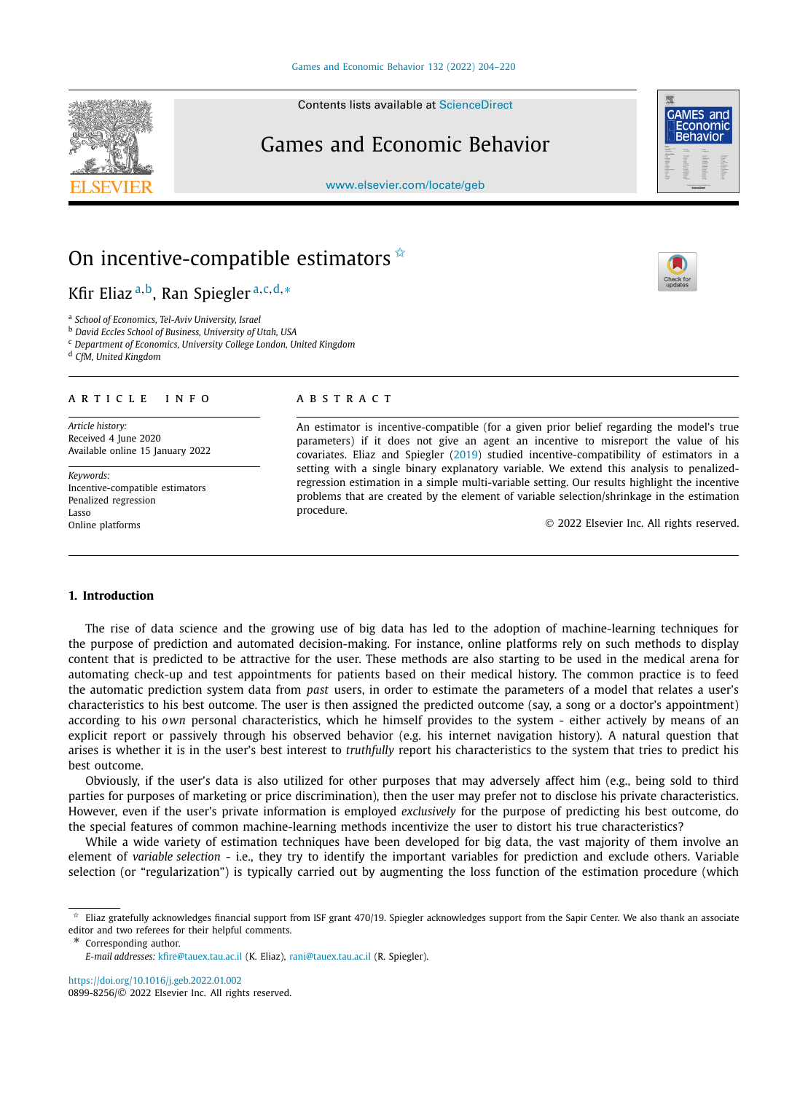Contents lists available at [ScienceDirect](http://www.ScienceDirect.com/)

# Games and Economic Behavior

[www.elsevier.com/locate/geb](http://www.elsevier.com/locate/geb)

# On incentive-compatible estimators  $\hat{X}$

## Kfir Eliaz <sup>a</sup>*,*b, Ran Spiegler <sup>a</sup>*,*c*,*d*,*<sup>∗</sup>

<sup>a</sup> *School of Economics, Tel-Aviv University, Israel*

<sup>b</sup> *David Eccles School of Business, University of Utah, USA*

<sup>c</sup> *Department of Economics, University College London, United Kingdom*

<sup>d</sup> *CfM, United Kingdom*

#### A R T I C L E I N F O A B S T R A C T

*Article history:* Received 4 June 2020 Available online 15 January 2022

*Keywords:* Incentive-compatible estimators Penalized regression Lasso Online platforms

An estimator is incentive-compatible (for a given prior belief regarding the model's true parameters) if it does not give an agent an incentive to misreport the value of his covariates. Eliaz and Spiegler ([2019\)](#page-16-0) studied incentive-compatibility of estimators in a setting with a single binary explanatory variable. We extend this analysis to penalizedregression estimation in a simple multi-variable setting. Our results highlight the incentive problems that are created by the element of variable selection/shrinkage in the estimation procedure.

© 2022 Elsevier Inc. All rights reserved.

#### **1. Introduction**

The rise of data science and the growing use of big data has led to the adoption of machine-learning techniques for the purpose of prediction and automated decision-making. For instance, online platforms rely on such methods to display content that is predicted to be attractive for the user. These methods are also starting to be used in the medical arena for automating check-up and test appointments for patients based on their medical history. The common practice is to feed the automatic prediction system data from *past* users, in order to estimate the parameters of a model that relates a user's characteristics to his best outcome. The user is then assigned the predicted outcome (say, a song or a doctor's appointment) according to his *own* personal characteristics, which he himself provides to the system - either actively by means of an explicit report or passively through his observed behavior (e.g. his internet navigation history). A natural question that arises is whether it is in the user's best interest to *truthfully* report his characteristics to the system that tries to predict his best outcome.

Obviously, if the user's data is also utilized for other purposes that may adversely affect him (e.g., being sold to third parties for purposes of marketing or price discrimination), then the user may prefer not to disclose his private characteristics. However, even if the user's private information is employed *exclusively* for the purpose of predicting his best outcome, do the special features of common machine-learning methods incentivize the user to distort his true characteristics?

While a wide variety of estimation techniques have been developed for big data, the vast majority of them involve an element of *variable selection* - i.e., they try to identify the important variables for prediction and exclude others. Variable selection (or "regularization") is typically carried out by augmenting the loss function of the estimation procedure (which

\* Corresponding author.

<https://doi.org/10.1016/j.geb.2022.01.002> 0899-8256/© 2022 Elsevier Inc. All rights reserved.







 $\angle$  Eliaz gratefully acknowledges financial support from ISF grant 470/19. Spiegler acknowledges support from the Sapir Center. We also thank an associate editor and two referees for their helpful comments.

*E-mail addresses:* [kfire@tauex.tau.ac.il](mailto:kfire@tauex.tau.ac.il) (K. Eliaz), [rani@tauex.tau.ac.il](mailto:rani@tauex.tau.ac.il) (R. Spiegler).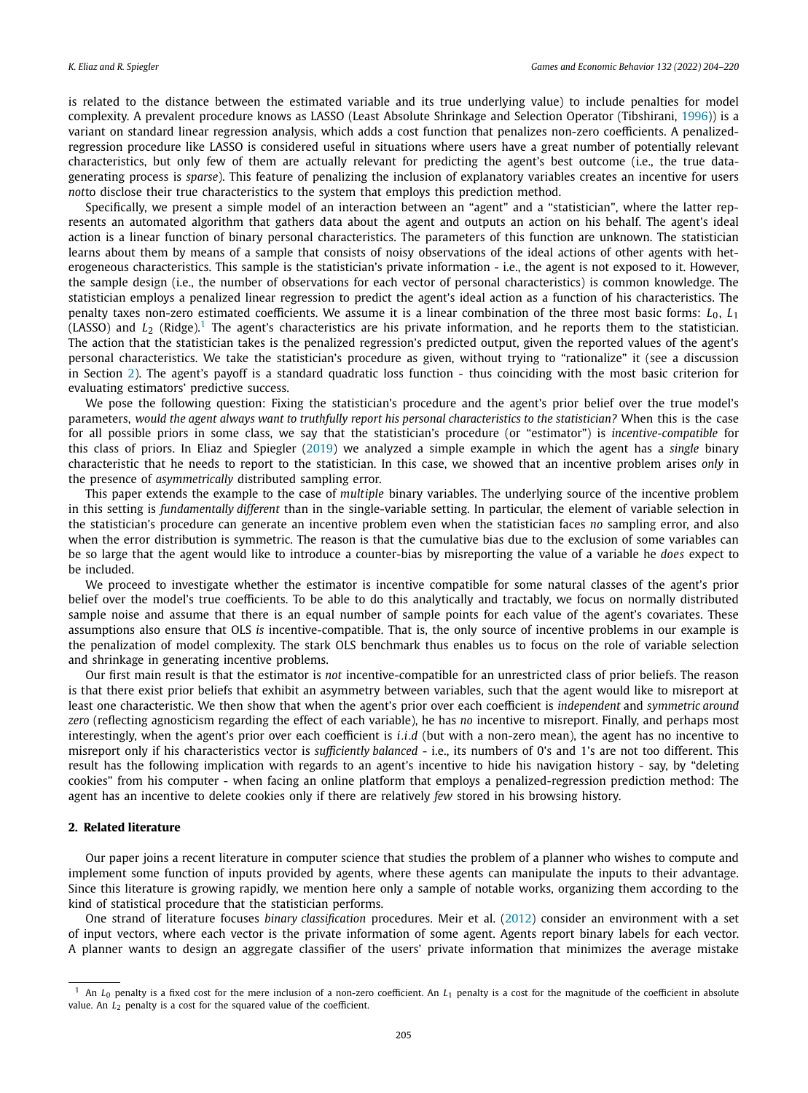is related to the distance between the estimated variable and its true underlying value) to include penalties for model complexity. A prevalent procedure knows as LASSO (Least Absolute Shrinkage and Selection Operator (Tibshirani, [1996\)](#page-16-0)) is a variant on standard linear regression analysis, which adds a cost function that penalizes non-zero coefficients. A penalizedregression procedure like LASSO is considered useful in situations where users have a great number of potentially relevant characteristics, but only few of them are actually relevant for predicting the agent's best outcome (i.e., the true datagenerating process is *sparse*). This feature of penalizing the inclusion of explanatory variables creates an incentive for users *not*to disclose their true characteristics to the system that employs this prediction method.

Specifically, we present a simple model of an interaction between an "agent" and a "statistician", where the latter represents an automated algorithm that gathers data about the agent and outputs an action on his behalf. The agent's ideal action is a linear function of binary personal characteristics. The parameters of this function are unknown. The statistician learns about them by means of a sample that consists of noisy observations of the ideal actions of other agents with heterogeneous characteristics. This sample is the statistician's private information - i.e., the agent is not exposed to it. However, the sample design (i.e., the number of observations for each vector of personal characteristics) is common knowledge. The statistician employs a penalized linear regression to predict the agent's ideal action as a function of his characteristics. The penalty taxes non-zero estimated coefficients. We assume it is a linear combination of the three most basic forms: *L*0, *L*<sup>1</sup> (LASSO) and  $L_2$  (Ridge).<sup>1</sup> The agent's characteristics are his private information, and he reports them to the statistician. The action that the statistician takes is the penalized regression's predicted output, given the reported values of the agent's personal characteristics. We take the statistician's procedure as given, without trying to "rationalize" it (see a discussion in Section 2). The agent's payoff is a standard quadratic loss function - thus coinciding with the most basic criterion for evaluating estimators' predictive success.

We pose the following question: Fixing the statistician's procedure and the agent's prior belief over the true model's parameters, would the agent always want to truthfully report his personal characteristics to the statistician? When this is the case for all possible priors in some class, we say that the statistician's procedure (or "estimator") is *incentive-compatible* for this class of priors. In Eliaz and Spiegler [\(2019\)](#page-16-0) we analyzed a simple example in which the agent has a *single* binary characteristic that he needs to report to the statistician. In this case, we showed that an incentive problem arises *only* in the presence of *asymmetrically* distributed sampling error.

This paper extends the example to the case of *multiple* binary variables. The underlying source of the incentive problem in this setting is *fundamentally different* than in the single-variable setting. In particular, the element of variable selection in the statistician's procedure can generate an incentive problem even when the statistician faces *no* sampling error, and also when the error distribution is symmetric. The reason is that the cumulative bias due to the exclusion of some variables can be so large that the agent would like to introduce a counter-bias by misreporting the value of a variable he *does* expect to be included.

We proceed to investigate whether the estimator is incentive compatible for some natural classes of the agent's prior belief over the model's true coefficients. To be able to do this analytically and tractably, we focus on normally distributed sample noise and assume that there is an equal number of sample points for each value of the agent's covariates. These assumptions also ensure that OLS *is* incentive-compatible. That is, the only source of incentive problems in our example is the penalization of model complexity. The stark OLS benchmark thus enables us to focus on the role of variable selection and shrinkage in generating incentive problems.

Our first main result is that the estimator is *not* incentive-compatible for an unrestricted class of prior beliefs. The reason is that there exist prior beliefs that exhibit an asymmetry between variables, such that the agent would like to misreport at least one characteristic. We then show that when the agent's prior over each coefficient is *independent* and *symmetric around zero* (reflecting agnosticism regarding the effect of each variable), he has *no* incentive to misreport. Finally, and perhaps most interestingly, when the agent's prior over each coefficient is *i.i.d* (but with a non-zero mean), the agent has no incentive to misreport only if his characteristics vector is *sufficiently balanced* - i.e., its numbers of 0's and 1's are not too different. This result has the following implication with regards to an agent's incentive to hide his navigation history - say, by "deleting cookies" from his computer - when facing an online platform that employs a penalized-regression prediction method: The agent has an incentive to delete cookies only if there are relatively *few* stored in his browsing history.

#### **2. Related literature**

Our paper joins a recent literature in computer science that studies the problem of a planner who wishes to compute and implement some function of inputs provided by agents, where these agents can manipulate the inputs to their advantage. Since this literature is growing rapidly, we mention here only a sample of notable works, organizing them according to the kind of statistical procedure that the statistician performs.

One strand of literature focuses *binary classification* procedures. Meir et al. ([2012](#page-16-0)) consider an environment with a set of input vectors, where each vector is the private information of some agent. Agents report binary labels for each vector. A planner wants to design an aggregate classifier of the users' private information that minimizes the average mistake

<sup>1</sup> An *L*<sup>0</sup> penalty is a fixed cost for the mere inclusion of a non-zero coefficient. An *L*<sup>1</sup> penalty is a cost for the magnitude of the coefficient in absolute value. An  $L_2$  penalty is a cost for the squared value of the coefficient.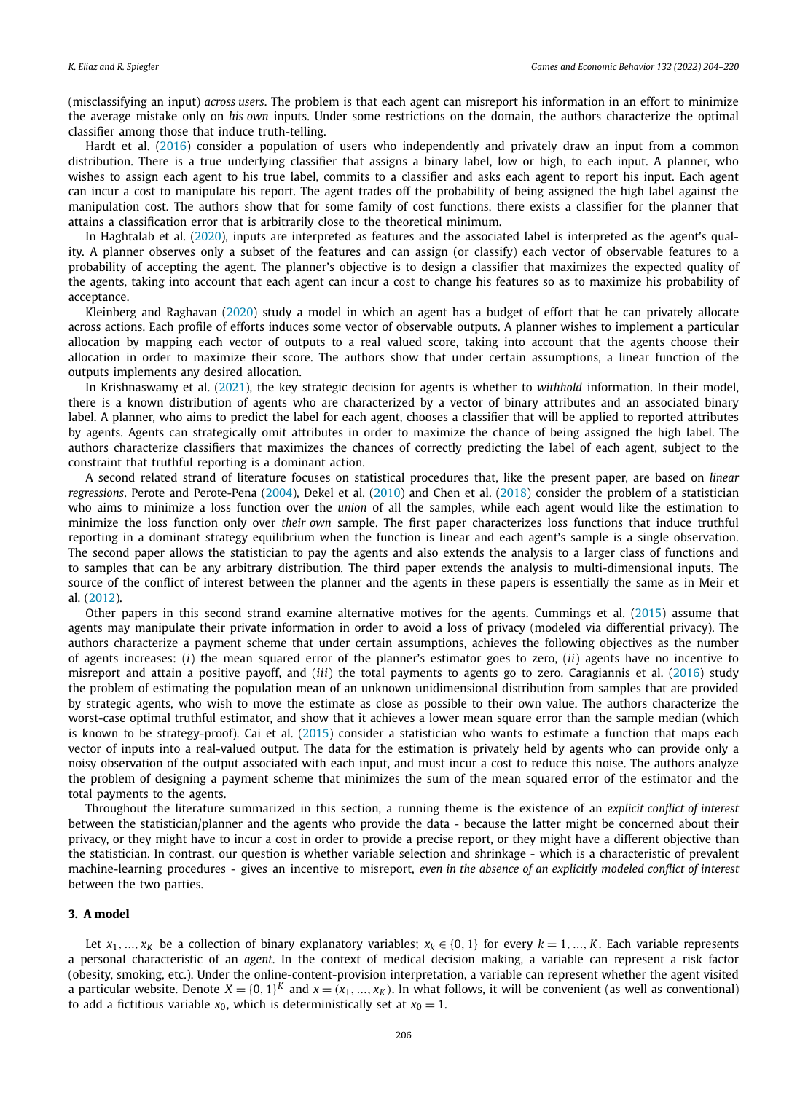<span id="page-2-0"></span>(misclassifying an input) *across users*. The problem is that each agent can misreport his information in an effort to minimize the average mistake only on *his own* inputs. Under some restrictions on the domain, the authors characterize the optimal classifier among those that induce truth-telling.

Hardt et al. ([2016](#page-16-0)) consider a population of users who independently and privately draw an input from a common distribution. There is a true underlying classifier that assigns a binary label, low or high, to each input. A planner, who wishes to assign each agent to his true label, commits to a classifier and asks each agent to report his input. Each agent can incur a cost to manipulate his report. The agent trades off the probability of being assigned the high label against the manipulation cost. The authors show that for some family of cost functions, there exists a classifier for the planner that attains a classification error that is arbitrarily close to the theoretical minimum.

In Haghtalab et al. ([2020](#page-16-0)), inputs are interpreted as features and the associated label is interpreted as the agent's quality. A planner observes only a subset of the features and can assign (or classify) each vector of observable features to a probability of accepting the agent. The planner's objective is to design a classifier that maximizes the expected quality of the agents, taking into account that each agent can incur a cost to change his features so as to maximize his probability of acceptance.

Kleinberg and Raghavan [\(2020](#page-16-0)) study a model in which an agent has a budget of effort that he can privately allocate across actions. Each profile of efforts induces some vector of observable outputs. A planner wishes to implement a particular allocation by mapping each vector of outputs to a real valued score, taking into account that the agents choose their allocation in order to maximize their score. The authors show that under certain assumptions, a linear function of the outputs implements any desired allocation.

In Krishnaswamy et al. ([2021](#page-16-0)), the key strategic decision for agents is whether to *withhold* information. In their model, there is a known distribution of agents who are characterized by a vector of binary attributes and an associated binary label. A planner, who aims to predict the label for each agent, chooses a classifier that will be applied to reported attributes by agents. Agents can strategically omit attributes in order to maximize the chance of being assigned the high label. The authors characterize classifiers that maximizes the chances of correctly predicting the label of each agent, subject to the constraint that truthful reporting is a dominant action.

A second related strand of literature focuses on statistical procedures that, like the present paper, are based on *linear regressions*. Perote and Perote-Pena [\(2004\)](#page-16-0), Dekel et al. [\(2010\)](#page-16-0) and Chen et al. [\(2018\)](#page-16-0) consider the problem of a statistician who aims to minimize a loss function over the *union* of all the samples, while each agent would like the estimation to minimize the loss function only over *their own* sample. The first paper characterizes loss functions that induce truthful reporting in a dominant strategy equilibrium when the function is linear and each agent's sample is a single observation. The second paper allows the statistician to pay the agents and also extends the analysis to a larger class of functions and to samples that can be any arbitrary distribution. The third paper extends the analysis to multi-dimensional inputs. The source of the conflict of interest between the planner and the agents in these papers is essentially the same as in Meir et al. [\(2012\)](#page-16-0).

Other papers in this second strand examine alternative motives for the agents. Cummings et al. [\(2015\)](#page-16-0) assume that agents may manipulate their private information in order to avoid a loss of privacy (modeled via differential privacy). The authors characterize a payment scheme that under certain assumptions, achieves the following objectives as the number of agents increases: (*i*) the mean squared error of the planner's estimator goes to zero, (*ii*) agents have no incentive to misreport and attain a positive payoff, and (*iii*) the total payments to agents go to zero. Caragiannis et al. [\(2016\)](#page-16-0) study the problem of estimating the population mean of an unknown unidimensional distribution from samples that are provided by strategic agents, who wish to move the estimate as close as possible to their own value. The authors characterize the worst-case optimal truthful estimator, and show that it achieves a lower mean square error than the sample median (which is known to be strategy-proof). Cai et al. ([2015](#page-16-0)) consider a statistician who wants to estimate a function that maps each vector of inputs into a real-valued output. The data for the estimation is privately held by agents who can provide only a noisy observation of the output associated with each input, and must incur a cost to reduce this noise. The authors analyze the problem of designing a payment scheme that minimizes the sum of the mean squared error of the estimator and the total payments to the agents.

Throughout the literature summarized in this section, a running theme is the existence of an *explicit conflict of interest* between the statistician/planner and the agents who provide the data - because the latter might be concerned about their privacy, or they might have to incur a cost in order to provide a precise report, or they might have a different objective than the statistician. In contrast, our question is whether variable selection and shrinkage - which is a characteristic of prevalent machine-learning procedures - gives an incentive to misreport, *even in the absence of an explicitly modeled conflict of interest* between the two parties.

#### **3. A model**

Let  $x_1, ..., x_K$  be a collection of binary explanatory variables;  $x_k \in \{0, 1\}$  for every  $k = 1, ..., K$ . Each variable represents a personal characteristic of an *agent*. In the context of medical decision making, a variable can represent a risk factor (obesity, smoking, etc.). Under the online-content-provision interpretation, a variable can represent whether the agent visited a particular website. Denote  $X = \{0, 1\}^K$  and  $x = (x_1, ..., x_K)$ . In what follows, it will be convenient (as well as conventional) to add a fictitious variable  $x_0$ , which is deterministically set at  $x_0 = 1$ .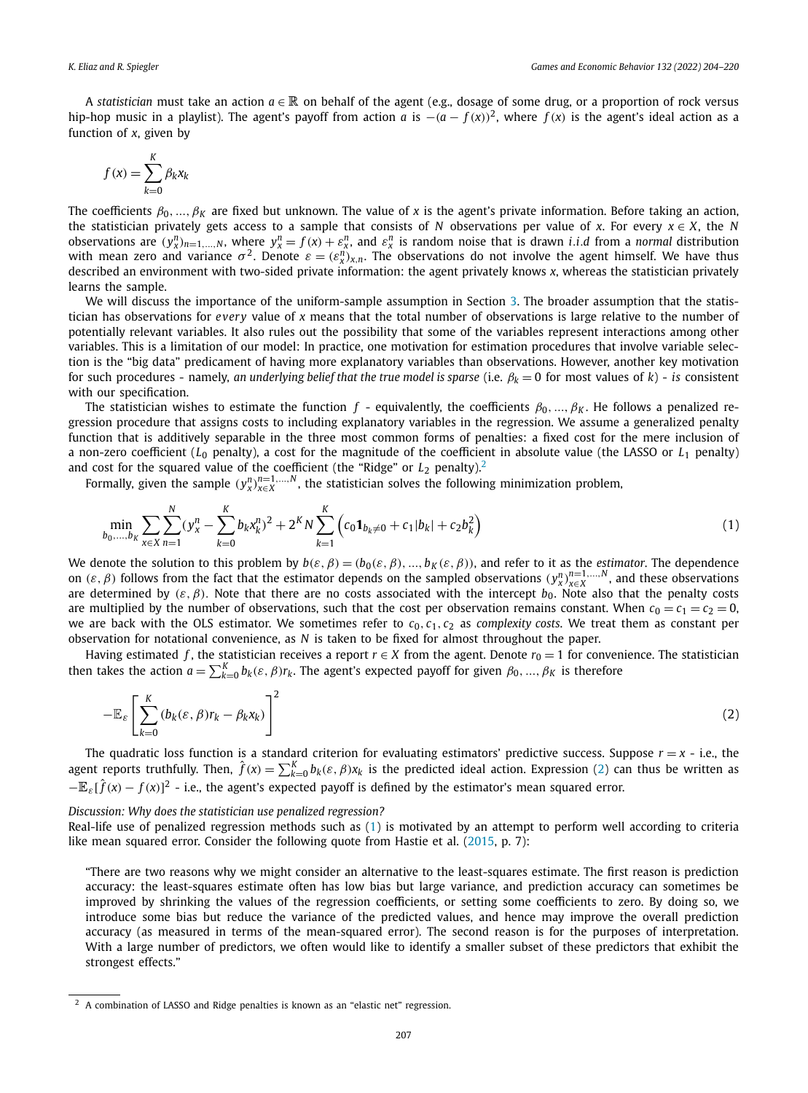<span id="page-3-0"></span>A *statistician* must take an action *a* ∈ R on behalf of the agent (e.g., dosage of some drug, or a proportion of rock versus hip-hop music in a playlist). The agent's payoff from action *a* is  $-(a - f(x))^2$ , where  $f(x)$  is the agent's ideal action as a function of *x*, given by

$$
f(x) = \sum_{k=0}^{K} \beta_k x_k
$$

The coefficients  $\beta_0, ..., \beta_K$  are fixed but unknown. The value of *x* is the agent's private information. Before taking an action, the statistician privately gets access to a sample that consists of *N* observations per value of *x*. For every  $x \in X$ , the *N* observations are  $(y_x^n)_{n=1,...,N}$ , where  $y_x^n = f(x) + \varepsilon_x^n$ , and  $\varepsilon_x^n$  is random noise that is drawn *i.i.d* from a *normal* distribution with mean zero and variance  $\sigma^2$ . Denote  $\varepsilon = (\varepsilon^n_x)_{x,n}$ . The observations do not involve the agent himself. We have thus described an environment with two-sided private information: the agent privately knows *x*, whereas the statistician privately learns the sample.

We will discuss the importance of the uniform-sample assumption in Section [3.](#page-2-0) The broader assumption that the statistician has observations for *every* value of *x* means that the total number of observations is large relative to the number of potentially relevant variables. It also rules out the possibility that some of the variables represent interactions among other variables. This is a limitation of our model: In practice, one motivation for estimation procedures that involve variable selection is the "big data" predicament of having more explanatory variables than observations. However, another key motivation for such procedures - namely, *an underlying belief that the true model is sparse* (i.e.  $\beta_k = 0$  for most values of  $k$ ) - *is* consistent with our specification.

The statistician wishes to estimate the function  $f$  - equivalently, the coefficients  $\beta_0, ..., \beta_K$ . He follows a penalized regression procedure that assigns costs to including explanatory variables in the regression. We assume a generalized penalty function that is additively separable in the three most common forms of penalties: a fixed cost for the mere inclusion of a non-zero coefficient (*L*<sup>0</sup> penalty), a cost for the magnitude of the coefficient in absolute value (the LASSO or *L*<sup>1</sup> penalty) and cost for the squared value of the coefficient (the "Ridge" or *L*<sub>2</sub> penalty).<sup>2</sup>

Formally, given the sample  $(y_X^n)_{X\in X}^{n=1,...,N}$ , the statistician solves the following minimization problem,

$$
\min_{b_0,\dots,b_K} \sum_{x \in X} \sum_{n=1}^N (y_x^n - \sum_{k=0}^K b_k x_k^n)^2 + 2^K N \sum_{k=1}^K \left( c_0 \mathbf{1}_{b_k \neq 0} + c_1 |b_k| + c_2 b_k^2 \right)
$$
\n(1)

We denote the solution to this problem by  $b(\varepsilon, \beta) = (b_0(\varepsilon, \beta), ..., b_K(\varepsilon, \beta))$ , and refer to it as the *estimator*. The dependence on  $(\varepsilon, \beta)$  follows from the fact that the estimator depends on the sampled observations  $(y_x^n)_{x \in X}^{n=1,...,N}$ , and these observations are determined by  $(\varepsilon, \beta)$ . Note that there are no costs associated with the intercept  $b_0$ . Note also that the penalty costs are multiplied by the number of observations, such that the cost per observation remains constant. When  $c_0 = c_1 = c_2 = 0$ , we are back with the OLS estimator. We sometimes refer to  $c_0, c_1, c_2$  as *complexity costs*. We treat them as constant per observation for notational convenience, as *N* is taken to be fixed for almost throughout the paper.

Having estimated *f*, the statistician receives a report  $r \in X$  from the agent. Denote  $r_0 = 1$  for convenience. The statistician then takes the action  $a = \sum_{k=0}^{K} b_k(\varepsilon, \beta) r_k$ . The agent's expected payoff for given  $\beta_0, ..., \beta_K$  is therefore

$$
-\mathbb{E}_{\varepsilon}\left[\sum_{k=0}^{K}\left(b_{k}(\varepsilon,\beta)r_{k}-\beta_{k}x_{k}\right)\right]^{2}
$$
\n(2)

The quadratic loss function is a standard criterion for evaluating estimators' predictive success. Suppose  $r = x - i.e.,$  the agent reports truthfully. Then,  $\hat{f}(x) = \sum_{k=0}^{K} b_k(\varepsilon,\beta)x_k$  is the predicted ideal action. Expression (2) can thus be written as  $-\mathbb{E}_{\varepsilon}[\hat{f}(x)-f(x)]^2$  - i.e., the agent's expected payoff is defined by the estimator's mean squared error.

#### *Discussion: Why does the statistician use penalized regression?*

Real-life use of penalized regression methods such as (1) is motivated by an attempt to perform well according to criteria like mean squared error. Consider the following quote from Hastie et al. ([2015](#page-16-0), p. 7):

"There are two reasons why we might consider an alternative to the least-squares estimate. The first reason is prediction accuracy: the least-squares estimate often has low bias but large variance, and prediction accuracy can sometimes be improved by shrinking the values of the regression coefficients, or setting some coefficients to zero. By doing so, we introduce some bias but reduce the variance of the predicted values, and hence may improve the overall prediction accuracy (as measured in terms of the mean-squared error). The second reason is for the purposes of interpretation. With a large number of predictors, we often would like to identify a smaller subset of these predictors that exhibit the strongest effects."

<sup>2</sup> A combination of LASSO and Ridge penalties is known as an "elastic net" regression.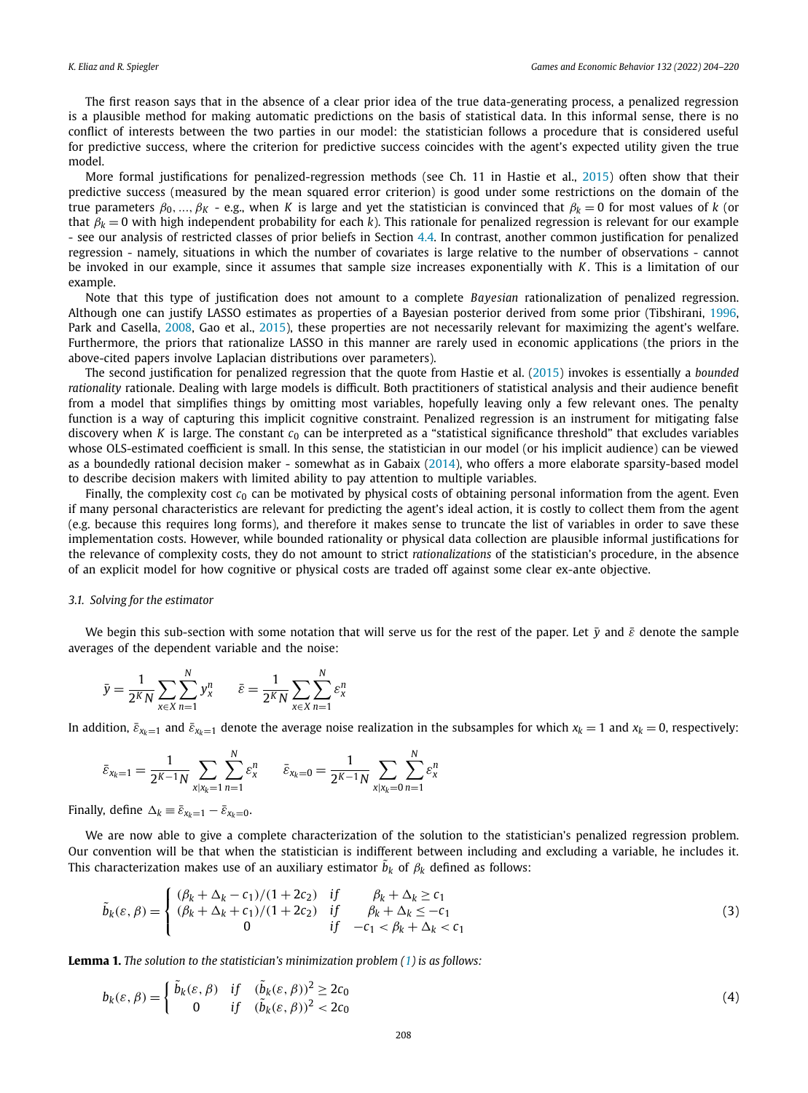<span id="page-4-0"></span>The first reason says that in the absence of a clear prior idea of the true data-generating process, a penalized regression is a plausible method for making automatic predictions on the basis of statistical data. In this informal sense, there is no conflict of interests between the two parties in our model: the statistician follows a procedure that is considered useful for predictive success, where the criterion for predictive success coincides with the agent's expected utility given the true model.

More formal justifications for penalized-regression methods (see Ch. 11 in Hastie et al., [2015\)](#page-16-0) often show that their predictive success (measured by the mean squared error criterion) is good under some restrictions on the domain of the true parameters  $β_0, ..., β_K$  - e.g., when K is large and yet the statistician is convinced that  $β_k = 0$  for most values of k (or that  $\beta_k = 0$  with high independent probability for each *k*). This rationale for penalized regression is relevant for our example - see our analysis of restricted classes of prior beliefs in Section [4.4](#page-7-0). In contrast, another common justification for penalized regression - namely, situations in which the number of covariates is large relative to the number of observations - cannot be invoked in our example, since it assumes that sample size increases exponentially with *K*. This is a limitation of our example.

Note that this type of justification does not amount to a complete *Bayesian* rationalization of penalized regression. Although one can justify LASSO estimates as properties of a Bayesian posterior derived from some prior (Tibshirani, [1996](#page-16-0), Park and Casella, [2008,](#page-16-0) Gao et al., [2015](#page-16-0)), these properties are not necessarily relevant for maximizing the agent's welfare. Furthermore, the priors that rationalize LASSO in this manner are rarely used in economic applications (the priors in the above-cited papers involve Laplacian distributions over parameters).

The second justification for penalized regression that the quote from Hastie et al. ([2015](#page-16-0)) invokes is essentially a *bounded rationality* rationale. Dealing with large models is difficult. Both practitioners of statistical analysis and their audience benefit from a model that simplifies things by omitting most variables, hopefully leaving only a few relevant ones. The penalty function is a way of capturing this implicit cognitive constraint. Penalized regression is an instrument for mitigating false discovery when *K* is large. The constant *c*<sup>0</sup> can be interpreted as a "statistical significance threshold" that excludes variables whose OLS-estimated coefficient is small. In this sense, the statistician in our model (or his implicit audience) can be viewed as a boundedly rational decision maker - somewhat as in Gabaix ([2014](#page-16-0)), who offers a more elaborate sparsity-based model to describe decision makers with limited ability to pay attention to multiple variables.

Finally, the complexity cost *c*<sup>0</sup> can be motivated by physical costs of obtaining personal information from the agent. Even if many personal characteristics are relevant for predicting the agent's ideal action, it is costly to collect them from the agent (e.g. because this requires long forms), and therefore it makes sense to truncate the list of variables in order to save these implementation costs. However, while bounded rationality or physical data collection are plausible informal justifications for the relevance of complexity costs, they do not amount to strict *rationalizations* of the statistician's procedure, in the absence of an explicit model for how cognitive or physical costs are traded off against some clear ex-ante objective.

#### *3.1. Solving for the estimator*

We begin this sub-section with some notation that will serve us for the rest of the paper. Let  $\bar{y}$  and  $\bar{\varepsilon}$  denote the sample averages of the dependent variable and the noise:

$$
\bar{y} = \frac{1}{2^K N} \sum_{x \in X} \sum_{n=1}^N y_x^n \qquad \bar{\varepsilon} = \frac{1}{2^K N} \sum_{x \in X} \sum_{n=1}^N \varepsilon_x^n
$$

In addition,  $\bar{\varepsilon}_{x_k=1}$  and  $\bar{\varepsilon}_{x_k=1}$  denote the average noise realization in the subsamples for which  $x_k = 1$  and  $x_k = 0$ , respectively:

$$
\bar{\varepsilon}_{x_k=1} = \frac{1}{2^{K-1}N} \sum_{\substack{x \mid x_k=1}} \sum_{n=1}^N \varepsilon_x^n \qquad \bar{\varepsilon}_{x_k=0} = \frac{1}{2^{K-1}N} \sum_{\substack{x \mid x_k=0}} \sum_{n=1}^N \varepsilon_x^n
$$

Finally, define  $\Delta_k \equiv \bar{\varepsilon}_{x_k=1} - \bar{\varepsilon}_{x_k=0}$ .

We are now able to give a complete characterization of the solution to the statistician's penalized regression problem. Our convention will be that when the statistician is indifferent between including and excluding a variable, he includes it. This characterization makes use of an auxiliary estimator  $\tilde{b}_k$  of  $\beta_k$  defined as follows:

$$
\tilde{b}_{k}(\varepsilon,\beta) = \begin{cases}\n(\beta_{k} + \Delta_{k} - c_{1})/(1 + 2c_{2}) & \text{if } \beta_{k} + \Delta_{k} \ge c_{1} \\
(\beta_{k} + \Delta_{k} + c_{1})/(1 + 2c_{2}) & \text{if } \beta_{k} + \Delta_{k} \le -c_{1} \\
0 & \text{if } -c_{1} < \beta_{k} + \Delta_{k} < c_{1}\n\end{cases} \tag{3}
$$

**Lemma 1.** *The solution to the statistician's minimization problem [\(1](#page-3-0)) is as follows:*

$$
b_k(\varepsilon, \beta) = \begin{cases} \tilde{b}_k(\varepsilon, \beta) & \text{if } (\tilde{b}_k(\varepsilon, \beta))^2 \ge 2c_0 \\ 0 & \text{if } (\tilde{b}_k(\varepsilon, \beta))^2 < 2c_0 \end{cases} \tag{4}
$$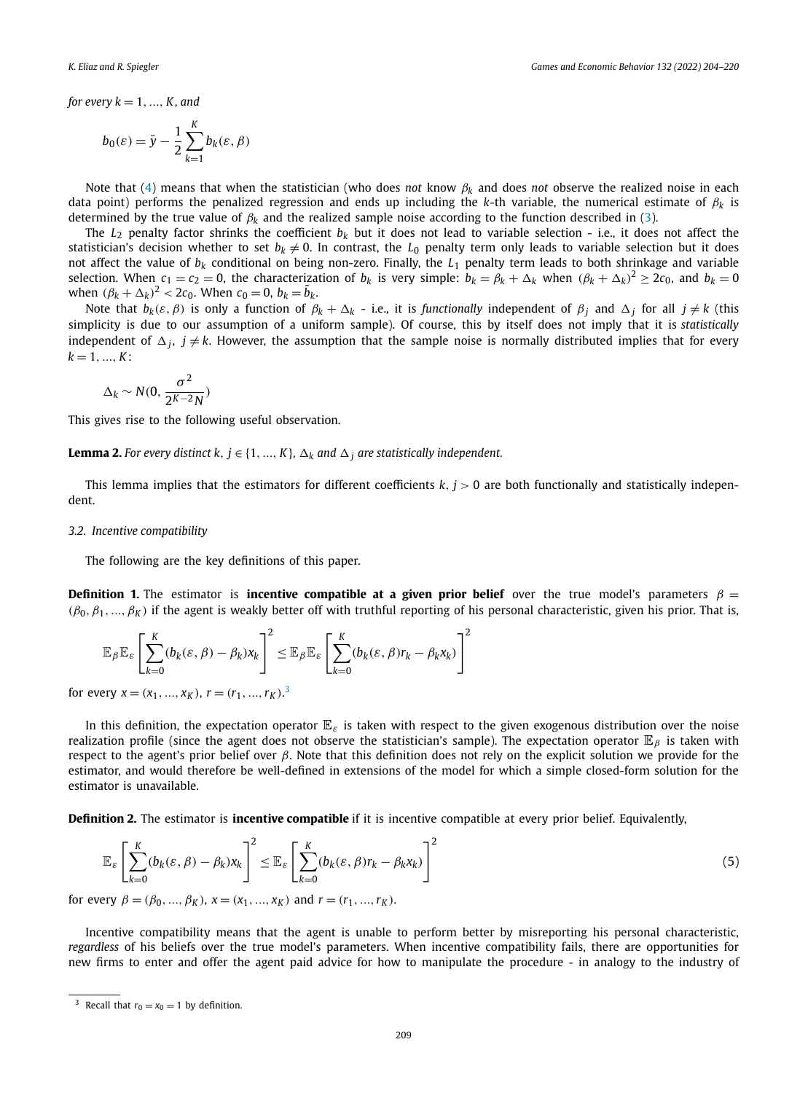<span id="page-5-0"></span>*for every*  $k = 1, ..., K$ , and

$$
b_0(\varepsilon) = \bar{y} - \frac{1}{2} \sum_{k=1}^{K} b_k(\varepsilon, \beta)
$$

Note that [\(4](#page-4-0)) means that when the statistician (who does *not* know *β<sup>k</sup>* and does *not* observe the realized noise in each data point) performs the penalized regression and ends up including the *k*-th variable, the numerical estimate of *β<sup>k</sup>* is determined by the true value of *β<sup>k</sup>* and the realized sample noise according to the function described in ([3](#page-4-0)).

The  $L_2$  penalty factor shrinks the coefficient  $b_k$  but it does not lead to variable selection - i.e., it does not affect the statistician's decision whether to set  $b_k \neq 0$ . In contrast, the  $L_0$  penalty term only leads to variable selection but it does not affect the value of *bk* conditional on being non-zero. Finally, the *L*<sup>1</sup> penalty term leads to both shrinkage and variable selection. When  $c_1 = c_2 = 0$ , the characterization of  $b_k$  is very simple:  $b_k = \beta_k + \Delta_k$  when  $(\beta_k + \Delta_k)^2 \geq 2c_0$ , and  $b_k = 0$ *when*  $(\beta_k + \Delta_k)^2 < 2c_0$ . When  $c_0 = 0$ ,  $b_k = \tilde{b}_k$ .

Note that  $b_k(\varepsilon, \beta)$  is only a function of  $\beta_k + \Delta_k$  - i.e., it is *functionally* independent of  $\beta_j$  and  $\Delta_j$  for all  $j \neq k$  (this simplicity is due to our assumption of a uniform sample). Of course, this by itself does not imply that it is *statistically* independent of  $\Delta_i$ ,  $j \neq k$ . However, the assumption that the sample noise is normally distributed implies that for every  $k = 1, ..., K$ :

$$
\Delta_k \sim N(0, \frac{\sigma^2}{2^{K-2}N})
$$

This gives rise to the following useful observation.

**Lemma 2.** For every distinct  $k, j \in \{1, ..., K\}$ ,  $\Delta_k$  and  $\Delta_j$  are statistically independent.

This lemma implies that the estimators for different coefficients *k, j >* 0 are both functionally and statistically independent.

#### *3.2. Incentive compatibility*

The following are the key definitions of this paper.

**Definition 1.** The estimator is **incentive compatible at a given prior belief** over the true model's parameters  $\beta =$ *(β*0*,β*1*,...,β<sup>K</sup> )* if the agent is weakly better off with truthful reporting of his personal characteristic, given his prior. That is,

$$
\mathbb{E}_{\beta} \mathbb{E}_{\varepsilon} \left[ \sum_{k=0}^{K} (b_k(\varepsilon, \beta) - \beta_k) x_k \right]^2 \leq \mathbb{E}_{\beta} \mathbb{E}_{\varepsilon} \left[ \sum_{k=0}^{K} (b_k(\varepsilon, \beta) r_k - \beta_k x_k) \right]^2
$$

for every  $x = (x_1, ..., x_K)$ ,  $r = (r_1, ..., r_K)$ .<sup>3</sup>

In this definition, the expectation operator E*ε* is taken with respect to the given exogenous distribution over the noise realization profile (since the agent does not observe the statistician's sample). The expectation operator E*<sup>β</sup>* is taken with respect to the agent's prior belief over *β*. Note that this definition does not rely on the explicit solution we provide for the estimator, and would therefore be well-defined in extensions of the model for which a simple closed-form solution for the estimator is unavailable.

**Definition 2.** The estimator is **incentive compatible** if it is incentive compatible at every prior belief. Equivalently,

$$
\mathbb{E}_{\varepsilon} \left[ \sum_{k=0}^{K} (b_k(\varepsilon, \beta) - \beta_k) x_k \right]^2 \leq \mathbb{E}_{\varepsilon} \left[ \sum_{k=0}^{K} (b_k(\varepsilon, \beta) r_k - \beta_k x_k) \right]^2 \tag{5}
$$

for every  $\beta = (\beta_0, ..., \beta_K)$ ,  $x = (x_1, ..., x_K)$  and  $r = (r_1, ..., r_K)$ .

Incentive compatibility means that the agent is unable to perform better by misreporting his personal characteristic, *regardless* of his beliefs over the true model's parameters. When incentive compatibility fails, there are opportunities for new firms to enter and offer the agent paid advice for how to manipulate the procedure - in analogy to the industry of

<sup>&</sup>lt;sup>3</sup> Recall that  $r_0 = x_0 = 1$  by definition.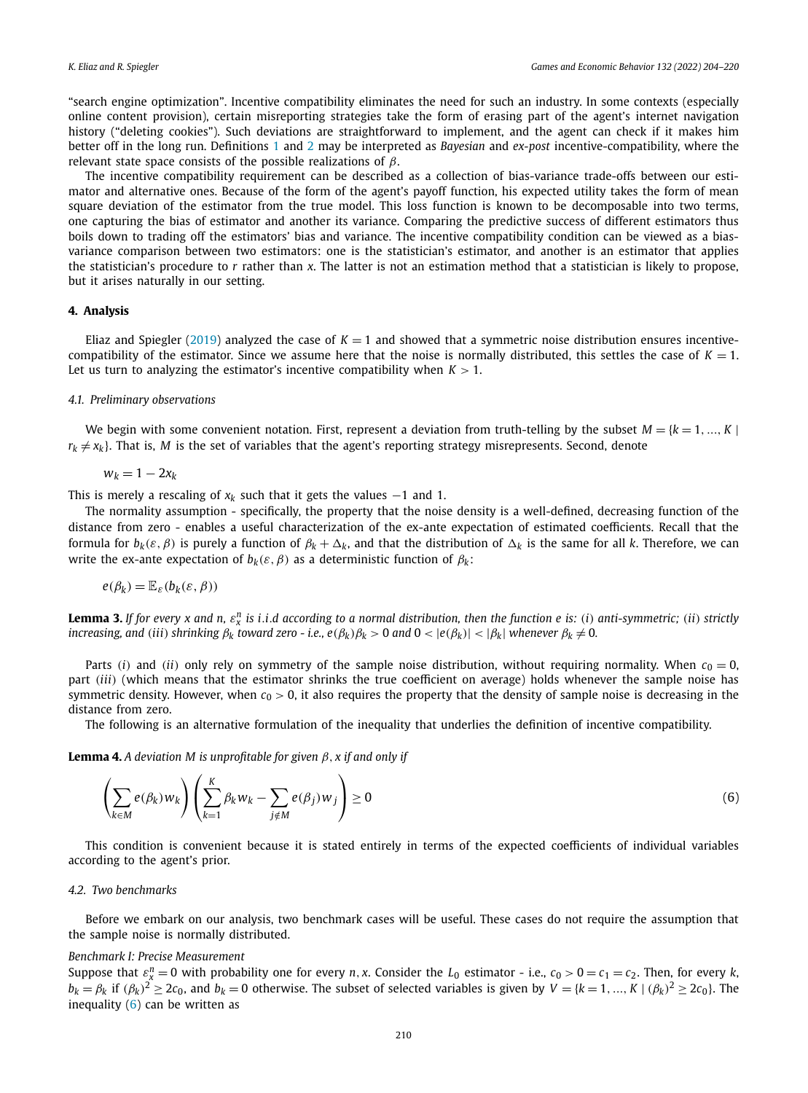<span id="page-6-0"></span>"search engine optimization". Incentive compatibility eliminates the need for such an industry. In some contexts (especially online content provision), certain misreporting strategies take the form of erasing part of the agent's internet navigation history ("deleting cookies"). Such deviations are straightforward to implement, and the agent can check if it makes him better off in the long run. Definitions [1](#page-5-0) and [2](#page-5-0) may be interpreted as *Bayesian* and *ex-post* incentive-compatibility, where the relevant state space consists of the possible realizations of *β*.

The incentive compatibility requirement can be described as a collection of bias-variance trade-offs between our estimator and alternative ones. Because of the form of the agent's payoff function, his expected utility takes the form of mean square deviation of the estimator from the true model. This loss function is known to be decomposable into two terms, one capturing the bias of estimator and another its variance. Comparing the predictive success of different estimators thus boils down to trading off the estimators' bias and variance. The incentive compatibility condition can be viewed as a biasvariance comparison between two estimators: one is the statistician's estimator, and another is an estimator that applies the statistician's procedure to *r* rather than *x*. The latter is not an estimation method that a statistician is likely to propose, but it arises naturally in our setting.

#### **4. Analysis**

Eliaz and Spiegler ([2019](#page-16-0)) analyzed the case of  $K = 1$  and showed that a symmetric noise distribution ensures incentivecompatibility of the estimator. Since we assume here that the noise is normally distributed, this settles the case of  $K = 1$ . Let us turn to analyzing the estimator's incentive compatibility when  $K > 1$ .

#### *4.1. Preliminary observations*

We begin with some convenient notation. First, represent a deviation from truth-telling by the subset  $M = \{k = 1, ..., K\}$  $r_k \neq x_k$ . That is, *M* is the set of variables that the agent's reporting strategy misrepresents. Second, denote

$$
w_k = 1 - 2x_k
$$

This is merely a rescaling of  $x_k$  such that it gets the values  $-1$  and 1.

The normality assumption - specifically, the property that the noise density is a well-defined, decreasing function of the distance from zero - enables a useful characterization of the ex-ante expectation of estimated coefficients. Recall that the formula for *bk(ε,β)* is purely a function of *β<sup>k</sup>* + *k*, and that the distribution of *<sup>k</sup>* is the same for all *k*. Therefore, we can write the ex-ante expectation of  $b_k(\varepsilon, \beta)$  as a deterministic function of  $\beta_k$ :

$$
e(\beta_k) = \mathbb{E}_{\varepsilon}(b_k(\varepsilon, \beta))
$$

**Lemma 3.** If for every x and n,  $\varepsilon_x^n$  is i.i.d according to a normal distribution, then the function e is: (i) anti-symmetric; (ii) strictly increasing, and (iii) shrinking  $\beta_k$  toward zero - i.e.,  $e(\beta_k)\beta_k > 0$  and  $0 < |e(\beta_k)| < |\beta_k|$  whenever  $\beta_k \neq 0$ .

Parts (*i*) and (*ii*) only rely on symmetry of the sample noise distribution, without requiring normality. When  $c_0 = 0$ , part *(iii)* (which means that the estimator shrinks the true coefficient on average) holds whenever the sample noise has symmetric density. However, when  $c_0 > 0$ , it also requires the property that the density of sample noise is decreasing in the distance from zero.

The following is an alternative formulation of the inequality that underlies the definition of incentive compatibility.

**Lemma 4.** *A deviation M is unprofitable for given*  $\beta$ ,  $x$  *if and only if* 

$$
\left(\sum_{k\in M} e(\beta_k) w_k\right) \left(\sum_{k=1}^K \beta_k w_k - \sum_{j \notin M} e(\beta_j) w_j\right) \ge 0
$$
\n(6)

This condition is convenient because it is stated entirely in terms of the expected coefficients of individual variables according to the agent's prior.

#### *4.2. Two benchmarks*

Before we embark on our analysis, two benchmark cases will be useful. These cases do not require the assumption that the sample noise is normally distributed.

#### *Benchmark I: Precise Measurement*

Suppose that  $\varepsilon_x^n = 0$  with probability one for every *n*, *x*. Consider the *L*<sub>0</sub> estimator - i.e.,  $c_0 > 0 = c_1 = c_2$ . Then, for every *k*,  $b_k = \beta_k$  if  $(\beta_k)^2 \ge 2c_0$ , and  $b_k = 0$  otherwise. The subset of selected variables is given by  $V = \{k = 1, ..., K \mid (\beta_k)^2 \ge 2c_0\}$ . The inequality  $(6)$  can be written as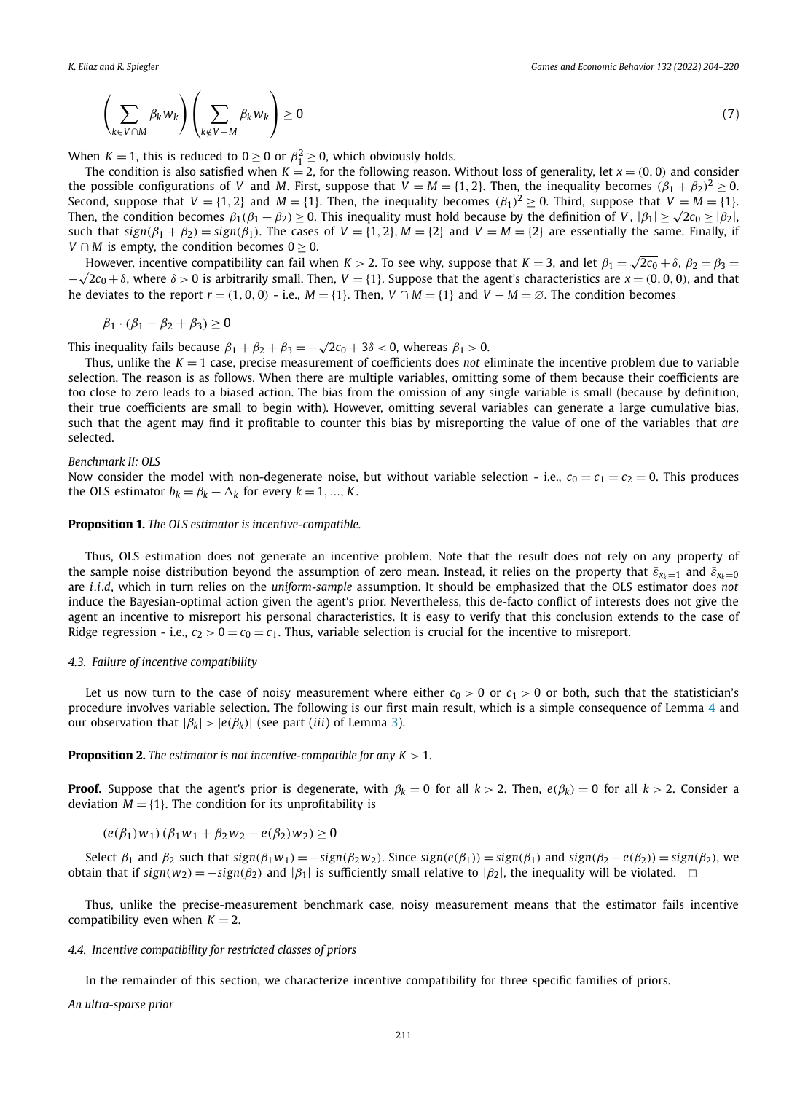<span id="page-7-0"></span>
$$
\left(\sum_{k\in V\cap M}\beta_k w_k\right)\left(\sum_{k\notin V-M}\beta_k w_k\right)\geq 0\tag{7}
$$

When  $K = 1$ , this is reduced to  $0 \ge 0$  or  $\beta_1^2 \ge 0$ , which obviously holds.

The condition is also satisfied when  $K = 2$ , for the following reason. Without loss of generality, let  $x = (0, 0)$  and consider the possible configurations of *V* and *M*. First, suppose that  $V = M = \{1, 2\}$ . Then, the inequality becomes  $(\beta_1 + \beta_2)^2 \ge 0$ . Second, suppose that  $V = \{1, 2\}$  and  $M = \{1\}$ . Then, the inequality becomes  $(\beta_1)^2 \ge 0$ . Third, suppose that  $V = M = \{1\}$ . Then, the condition becomes  $\beta_1(\beta_1 + \beta_2) > 0$ . This inequality must hold because by the definition of *V*,  $|\beta_1| > \sqrt{2c_0} > |\beta_2|$ , such that  $sign(\beta_1 + \beta_2) = sign(\beta_1)$ . The cases of  $V = \{1, 2\}$ ,  $M = \{2\}$  and  $V = M = \{2\}$  are essentially the same. Finally, if *V*  $\cap$  *M* is empty, the condition becomes 0 > 0.

However, incentive compatibility can fail when  $K > 2$ . To see why, suppose that  $K = 3$ , and let  $\beta_1 = \sqrt{2c_0} + \delta$ ,  $\beta_2 = \beta_3 = \delta$  $-\sqrt{2c_0} + \delta$ , where  $\delta > 0$  is arbitrarily small. Then,  $V = \{1\}$ . Suppose that the agent's characteristics are  $x = (0, 0, 0)$ , and that he deviates to the report  $r = (1, 0, 0)$  - i.e.,  $M = \{1\}$ . Then,  $V \cap M = \{1\}$  and  $V - M = \emptyset$ . The condition becomes

$$
\beta_1 \cdot (\beta_1 + \beta_2 + \beta_3) \ge 0
$$

This inequality fails because  $\beta_1 + \beta_2 + \beta_3 = -\sqrt{2c_0} + 3\delta < 0$ , whereas  $\beta_1 > 0$ .

Thus, unlike the  $K = 1$  case, precise measurement of coefficients does *not* eliminate the incentive problem due to variable selection. The reason is as follows. When there are multiple variables, omitting some of them because their coefficients are too close to zero leads to a biased action. The bias from the omission of any single variable is small (because by definition, their true coefficients are small to begin with). However, omitting several variables can generate a large cumulative bias, such that the agent may find it profitable to counter this bias by misreporting the value of one of the variables that *are* selected.

#### *Benchmark II: OLS*

Now consider the model with non-degenerate noise, but without variable selection - i.e.,  $c_0 = c_1 = c_2 = 0$ . This produces the OLS estimator  $b_k = \beta_k + \Delta_k$  for every  $k = 1, ..., K$ .

#### **Proposition 1.** *The OLS estimator is incentive-compatible.*

Thus, OLS estimation does not generate an incentive problem. Note that the result does not rely on any property of the sample noise distribution beyond the assumption of zero mean. Instead, it relies on the property that  $\bar{\varepsilon}_{x_k=1}$  and  $\bar{\varepsilon}_{x_k=0}$ are *i.i.d*, which in turn relies on the *uniform-sample* assumption. It should be emphasized that the OLS estimator does *not* induce the Bayesian-optimal action given the agent's prior. Nevertheless, this de-facto conflict of interests does not give the agent an incentive to misreport his personal characteristics. It is easy to verify that this conclusion extends to the case of Ridge regression - i.e.,  $c_2 > 0 = c_0 = c_1$ . Thus, variable selection is crucial for the incentive to misreport.

#### *4.3. Failure of incentive compatibility*

Let us now turn to the case of noisy measurement where either  $c_0 > 0$  or  $c_1 > 0$  or both, such that the statistician's procedure involves variable selection. The following is our first main result, which is a simple consequence of Lemma [4](#page-6-0) and our observation that  $|\beta_k| > |e(\beta_k)|$  (see part *(iii)* of Lemma [3](#page-6-0)).

#### **Proposition 2.** *The estimator is not incentive-compatible for any K >* 1*.*

**Proof.** Suppose that the agent's prior is degenerate, with  $\beta_k = 0$  for all  $k > 2$ . Then,  $e(\beta_k) = 0$  for all  $k > 2$ . Consider a deviation  $M = \{1\}$ . The condition for its unprofitability is

 $(e(β<sub>1</sub>)w<sub>1</sub>)(β<sub>1</sub>w<sub>1</sub> + β<sub>2</sub>w<sub>2</sub> − e(β<sub>2</sub>)w<sub>2</sub>) ≥ 0$ 

Select  $\beta_1$  and  $\beta_2$  such that  $sign(\beta_1 w_1) = -sign(\beta_2 w_2)$ . Since  $sign(e(\beta_1)) = sign(\beta_1)$  and  $sign(\beta_2 - e(\beta_2)) = sign(\beta_2)$ , we *obtain that if*  $sign(w_2) = -sign(\beta_2)$  *and*  $|\beta_1|$  *is sufficiently small relative to*  $|\beta_2|$ *, the inequality will be violated.*  $□$ 

Thus, unlike the precise-measurement benchmark case, noisy measurement means that the estimator fails incentive compatibility even when  $K = 2$ .

#### *4.4. Incentive compatibility for restricted classes of priors*

In the remainder of this section, we characterize incentive compatibility for three specific families of priors.

*An ultra-sparse prior*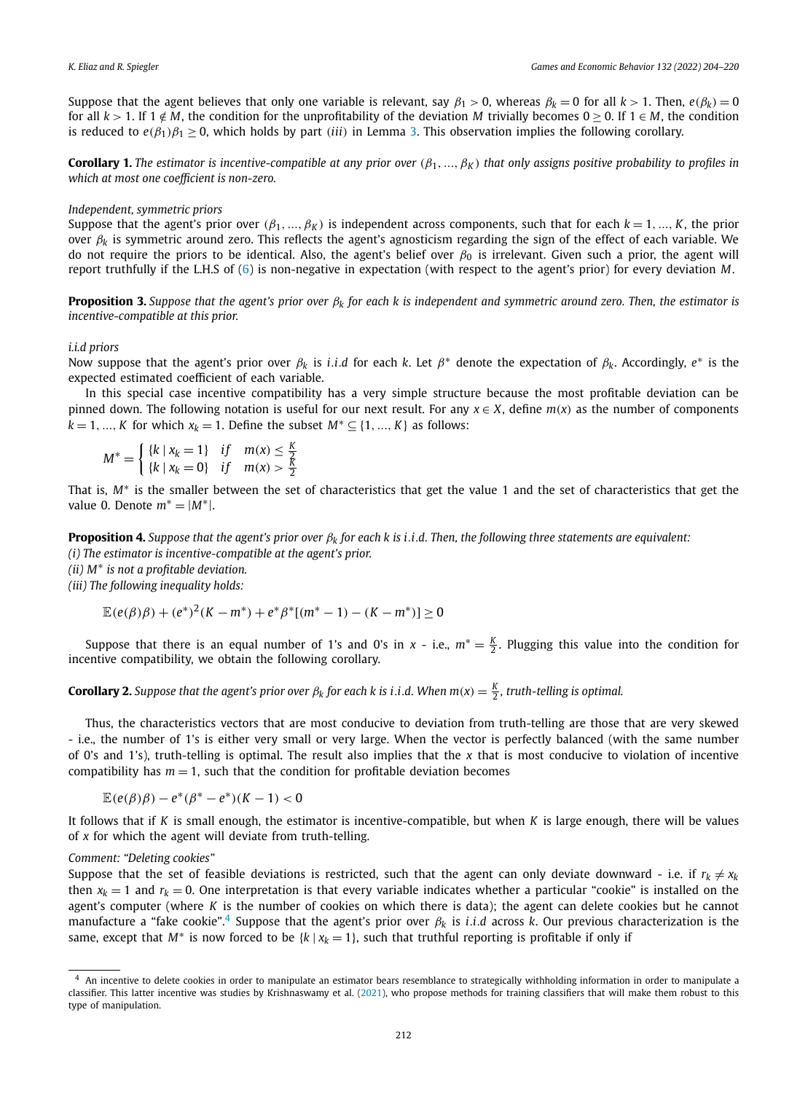<span id="page-8-0"></span>Suppose that the agent believes that only one variable is relevant, say  $\beta_1 > 0$ , whereas  $\beta_k = 0$  for all  $k > 1$ . Then,  $e(\beta_k) = 0$ for all  $k > 1$ . If  $1 \notin M$ , the condition for the unprofitability of the deviation *M* trivially becomes  $0 \ge 0$ . If  $1 \in M$ , the condition is reduced to  $e(\beta_1)\beta_1 > 0$ , which holds by part *(iii)* in Lemma [3](#page-6-0). This observation implies the following corollary.

**Corollary 1.** The estimator is incentive-compatible at any prior over  $(\beta_1, ..., \beta_K)$  that only assigns positive probability to profiles in *which at most one coefficient is non-zero.*

#### *Independent, symmetric priors*

Suppose that the agent's prior over  $(\beta_1, ..., \beta_K)$  is independent across components, such that for each  $k = 1, ..., K$ , the prior over *β<sup>k</sup>* is symmetric around zero. This reflects the agent's agnosticism regarding the sign of the effect of each variable. We do not require the priors to be identical. Also, the agent's belief over *β*<sup>0</sup> is irrelevant. Given such a prior, the agent will report truthfully if the L.H.S of [\(6\)](#page-6-0) is non-negative in expectation (with respect to the agent's prior) for every deviation *M*.

**Proposition 3.** Suppose that the agent's prior over  $\beta_k$  for each k is independent and symmetric around zero. Then, the estimator is *incentive-compatible at this prior.*

#### *i.i.d priors*

Now suppose that the agent's prior over *β<sup>k</sup>* is *<sup>i</sup>.i.<sup>d</sup>* for each *<sup>k</sup>*. Let *β*<sup>∗</sup> denote the expectation of *βk*. Accordingly, *<sup>e</sup>*<sup>∗</sup> is the expected estimated coefficient of each variable.

In this special case incentive compatibility has a very simple structure because the most profitable deviation can be pinned down. The following notation is useful for our next result. For any  $x \in X$ , define  $m(x)$  as the number of components *k* = 1, ..., *K* for which  $x_k$  = 1. Define the subset  $M^*$  ⊆ {1, ..., *K*} as follows:

$$
M^* = \begin{cases} \{k \mid x_k = 1\} & \text{if } m(x) \le \frac{K}{2} \\ \{k \mid x_k = 0\} & \text{if } m(x) > \frac{K}{2} \end{cases}
$$

That is, *M*<sup>∗</sup> is the smaller between the set of characteristics that get the value 1 and the set of characteristics that get the value 0. Denote  $m^* = |M^*|$ .

**Proposition 4.** Suppose that the agent's prior over  $\beta_k$  for each k is i.i.d. Then, the following three statements are equivalent: *(i) The estimator is incentive-compatible at the agent's prior.*

*(ii) M*<sup>∗</sup> *is not a profitable deviation.*

*(iii) The following inequality holds:*

$$
\mathbb{E}(e(\beta)\beta) + (e^*)^2(K - m^*) + e^*\beta^*[(m^* - 1) - (K - m^*)] \ge 0
$$

Suppose that there is an equal number of 1's and 0's in *x* - i.e.,  $m^* = \frac{K}{2}$ . Plugging this value into the condition for incentive compatibility, we obtain the following corollary.

**Corollary 2.** Suppose that the agent's prior over  $\beta_k$  for each k is i.i.d. When  $m(x) = \frac{K}{2}$ , truth-telling is optimal.

Thus, the characteristics vectors that are most conducive to deviation from truth-telling are those that are very skewed - i.e., the number of 1's is either very small or very large. When the vector is perfectly balanced (with the same number of 0's and 1's), truth-telling is optimal. The result also implies that the *x* that is most conducive to violation of incentive compatibility has  $m = 1$ , such that the condition for profitable deviation becomes

$$
\mathbb{E}(e(\beta)\beta)-e^*(\beta^*-e^*)(K-1)<0
$$

It follows that if *K* is small enough, the estimator is incentive-compatible, but when *K* is large enough, there will be values of *x* for which the agent will deviate from truth-telling.

#### *Comment: "Deleting cookies"*

Suppose that the set of feasible deviations is restricted, such that the agent can only deviate downward - i.e. if  $r_k \neq x_k$ then  $x_k = 1$  and  $r_k = 0$ . One interpretation is that every variable indicates whether a particular "cookie" is installed on the agent's computer (where *K* is the number of cookies on which there is data); the agent can delete cookies but he cannot manufacture a "fake cookie".4 Suppose that the agent's prior over *β<sup>k</sup>* is *i.i.d* across *k*. Our previous characterization is the same, except that  $M^*$  is now forced to be  $\{k \mid x_k = 1\}$ , such that truthful reporting is profitable if only if

<sup>4</sup> An incentive to delete cookies in order to manipulate an estimator bears resemblance to strategically withholding information in order to manipulate a classifier. This latter incentive was studies by Krishnaswamy et al. [\(2021](#page-16-0)), who propose methods for training classifiers that will make them robust to this type of manipulation.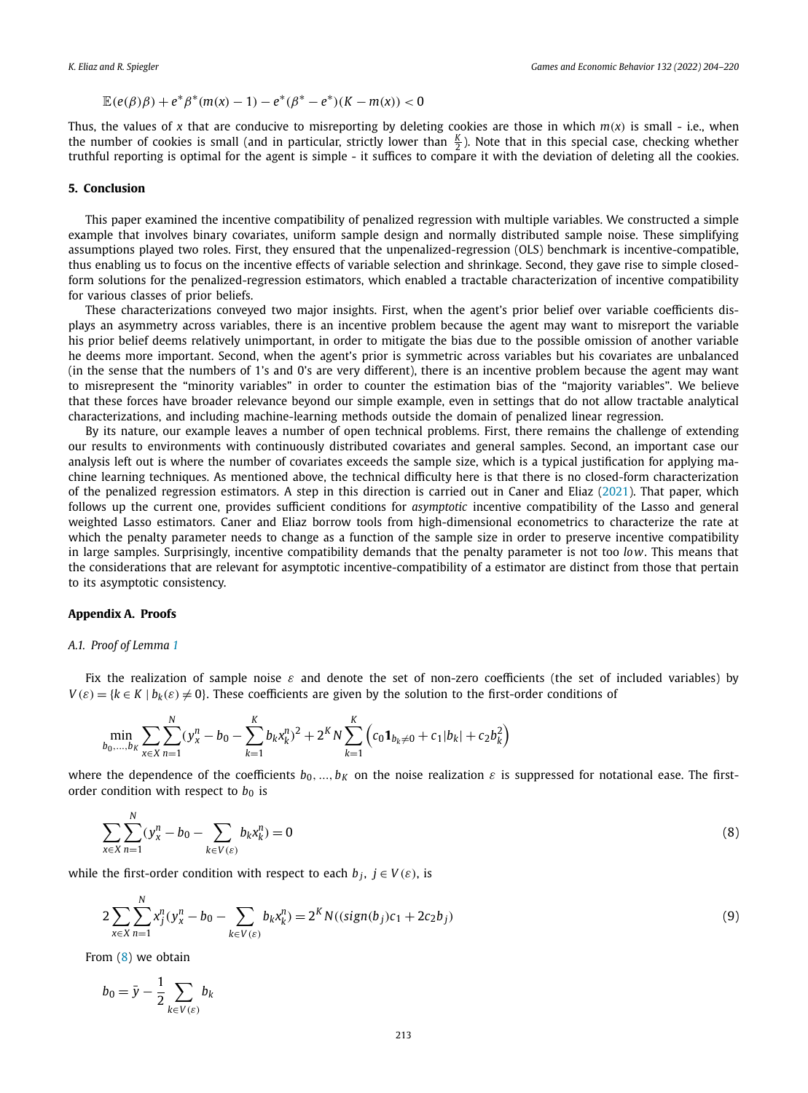<span id="page-9-0"></span>
$$
\mathbb{E}(e(\beta)\beta) + e^*\beta^*(m(x) - 1) - e^*(\beta^* - e^*)(K - m(x)) < 0
$$

Thus, the values of x that are conducive to misreporting by deleting cookies are those in which  $m(x)$  is small - i.e., when the number of cookies is small (and in particular, strictly lower than  $\frac{K}{2}$ ). Note that in this special case, checking whether truthful reporting is optimal for the agent is simple - it suffices to compare it with the deviation of deleting all the cookies.

#### **5. Conclusion**

This paper examined the incentive compatibility of penalized regression with multiple variables. We constructed a simple example that involves binary covariates, uniform sample design and normally distributed sample noise. These simplifying assumptions played two roles. First, they ensured that the unpenalized-regression (OLS) benchmark is incentive-compatible, thus enabling us to focus on the incentive effects of variable selection and shrinkage. Second, they gave rise to simple closedform solutions for the penalized-regression estimators, which enabled a tractable characterization of incentive compatibility for various classes of prior beliefs.

These characterizations conveyed two major insights. First, when the agent's prior belief over variable coefficients displays an asymmetry across variables, there is an incentive problem because the agent may want to misreport the variable his prior belief deems relatively unimportant, in order to mitigate the bias due to the possible omission of another variable he deems more important. Second, when the agent's prior is symmetric across variables but his covariates are unbalanced (in the sense that the numbers of 1's and 0's are very different), there is an incentive problem because the agent may want to misrepresent the "minority variables" in order to counter the estimation bias of the "majority variables". We believe that these forces have broader relevance beyond our simple example, even in settings that do not allow tractable analytical characterizations, and including machine-learning methods outside the domain of penalized linear regression.

By its nature, our example leaves a number of open technical problems. First, there remains the challenge of extending our results to environments with continuously distributed covariates and general samples. Second, an important case our analysis left out is where the number of covariates exceeds the sample size, which is a typical justification for applying machine learning techniques. As mentioned above, the technical difficulty here is that there is no closed-form characterization of the penalized regression estimators. A step in this direction is carried out in Caner and Eliaz [\(2021\)](#page-16-0). That paper, which follows up the current one, provides sufficient conditions for *asymptotic* incentive compatibility of the Lasso and general weighted Lasso estimators. Caner and Eliaz borrow tools from high-dimensional econometrics to characterize the rate at which the penalty parameter needs to change as a function of the sample size in order to preserve incentive compatibility in large samples. Surprisingly, incentive compatibility demands that the penalty parameter is not too *low*. This means that the considerations that are relevant for asymptotic incentive-compatibility of a estimator are distinct from those that pertain to its asymptotic consistency.

#### **Appendix A. Proofs**

#### *A.1. Proof of Lemma [1](#page-4-0)*

Fix the realization of sample noise *ε* and denote the set of non-zero coefficients (the set of included variables) by  $V(\varepsilon) = \{k \in K \mid b_k(\varepsilon) \neq 0\}$ . These coefficients are given by the solution to the first-order conditions of

$$
\min_{b_0,\dots,b_K} \sum_{x \in X} \sum_{n=1}^N (y_x^n - b_0 - \sum_{k=1}^K b_k x_k^n)^2 + 2^K N \sum_{k=1}^K (c_0 \mathbf{1}_{b_k \neq 0} + c_1 |b_k| + c_2 b_k^2)
$$

where the dependence of the coefficients  $b_0, ..., b_K$  on the noise realization  $\varepsilon$  is suppressed for notational ease. The firstorder condition with respect to  $b_0$  is

$$
\sum_{x \in X} \sum_{n=1}^{N} (y_x^n - b_0 - \sum_{k \in V(\varepsilon)} b_k x_k^n) = 0
$$
\n(8)

while the first-order condition with respect to each  $b_j$ ,  $j \in V(\varepsilon)$ , is

$$
2\sum_{x \in X} \sum_{n=1}^{N} x_j^n (y_x^n - b_0 - \sum_{k \in V(\varepsilon)} b_k x_k^n) = 2^K N((sign(b_j)c_1 + 2c_2b_j))
$$
\n(9)

From (8) we obtain

*N*

*N*

$$
b_0 = \bar{y} - \frac{1}{2} \sum_{k \in V(\varepsilon)} b_k
$$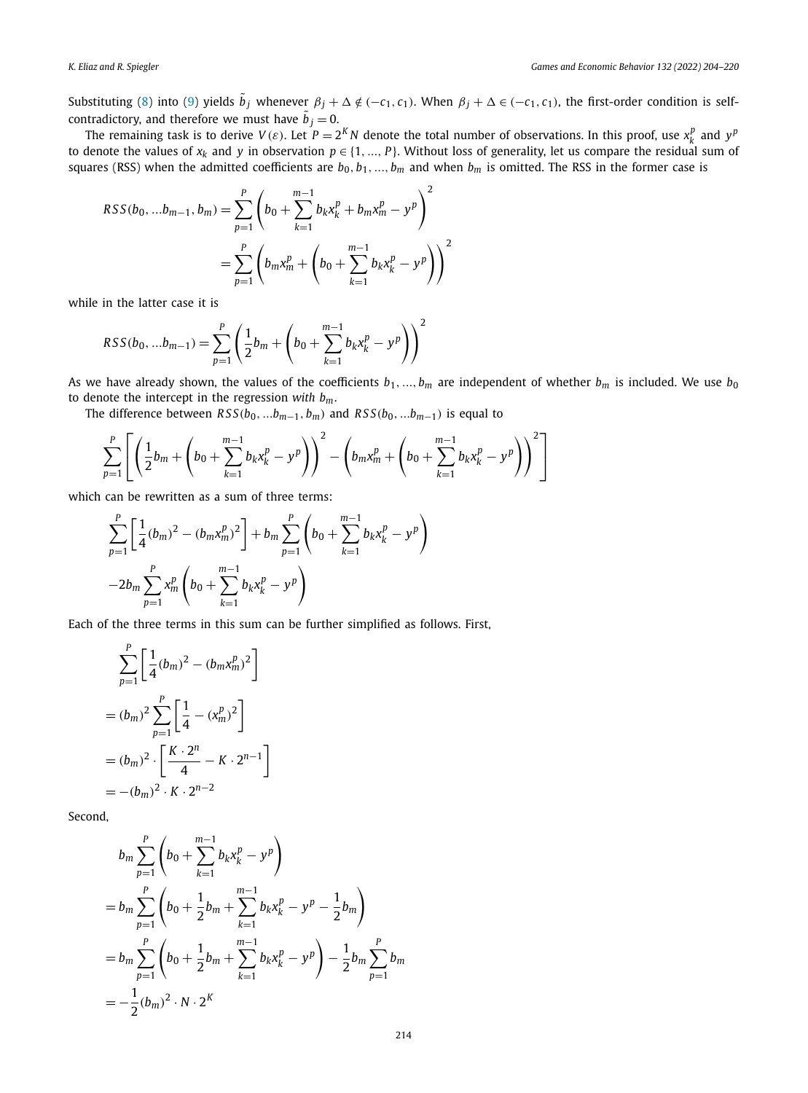Substituting [\(8\)](#page-9-0) into ([9\)](#page-9-0) yields  $\tilde{b}_j$  whenever  $\beta_j + \Delta \notin (-c_1, c_1)$ . When  $\beta_j + \Delta \in (-c_1, c_1)$ , the first-order condition is selfcontradictory, and therefore we must have  $\tilde{b}_j = 0$ .

The remaining task is to derive  $V(\varepsilon)$ . Let  $P = 2^K N$  denote the total number of observations. In this proof, use  $x_k^p$  and  $y^p$ to denote the values of  $x_k$  and  $y$  in observation  $p \in \{1, ..., P\}$ . Without loss of generality, let us compare the residual sum of squares (RSS) when the admitted coefficients are  $b_0, b_1, ..., b_m$  and when  $b_m$  is omitted. The RSS in the former case is

$$
RSS(b_0, ...b_{m-1}, b_m) = \sum_{p=1}^{P} \left( b_0 + \sum_{k=1}^{m-1} b_k x_k^p + b_m x_m^p - y^p \right)^2
$$
  
= 
$$
\sum_{p=1}^{P} \left( b_m x_m^p + \left( b_0 + \sum_{k=1}^{m-1} b_k x_k^p - y^p \right) \right)^2
$$

while in the latter case it is

$$
RSS(b_0, ... b_{m-1}) = \sum_{p=1}^{P} \left( \frac{1}{2} b_m + \left( b_0 + \sum_{k=1}^{m-1} b_k x_k^p - y^p \right) \right)^2
$$

As we have already shown, the values of the coefficients  $b_1, ..., b_m$  are independent of whether  $b_m$  is included. We use  $b_0$ to denote the intercept in the regression *with bm*.

The difference between  $RSS(b_0, ...b_{m-1}, b_m)$  and  $RSS(b_0, ...b_{m-1})$  is equal to

$$
\sum_{p=1}^{P} \left[ \left( \frac{1}{2} b_m + \left( b_0 + \sum_{k=1}^{m-1} b_k x_k^p - y^p \right) \right)^2 - \left( b_m x_m^p + \left( b_0 + \sum_{k=1}^{m-1} b_k x_k^p - y^p \right) \right)^2 \right]
$$

which can be rewritten as a sum of three terms:

$$
\sum_{p=1}^{P} \left[ \frac{1}{4} (b_m)^2 - (b_m x_m^p)^2 \right] + b_m \sum_{p=1}^{P} \left( b_0 + \sum_{k=1}^{m-1} b_k x_k^p - y^p \right)
$$
  
-2b\_m  $\sum_{p=1}^{P} x_m^p \left( b_0 + \sum_{k=1}^{m-1} b_k x_k^p - y^p \right)$ 

Each of the three terms in this sum can be further simplified as follows. First,

$$
\sum_{p=1}^{P} \left[ \frac{1}{4} (b_m)^2 - (b_m x_m^p)^2 \right]
$$
  
=  $(b_m)^2 \sum_{p=1}^{P} \left[ \frac{1}{4} - (x_m^p)^2 \right]$   
=  $(b_m)^2 \cdot \left[ \frac{K \cdot 2^n}{4} - K \cdot 2^{n-1} \right]$   
=  $-(b_m)^2 \cdot K \cdot 2^{n-2}$ 

Second,

$$
b_m \sum_{p=1}^P \left( b_0 + \sum_{k=1}^{m-1} b_k x_k^p - y^p \right)
$$
  
=  $b_m \sum_{p=1}^P \left( b_0 + \frac{1}{2} b_m + \sum_{k=1}^{m-1} b_k x_k^p - y^p - \frac{1}{2} b_m \right)$   
=  $b_m \sum_{p=1}^P \left( b_0 + \frac{1}{2} b_m + \sum_{k=1}^{m-1} b_k x_k^p - y^p \right) - \frac{1}{2} b_m \sum_{p=1}^P b_m$   
=  $-\frac{1}{2} (b_m)^2 \cdot N \cdot 2^K$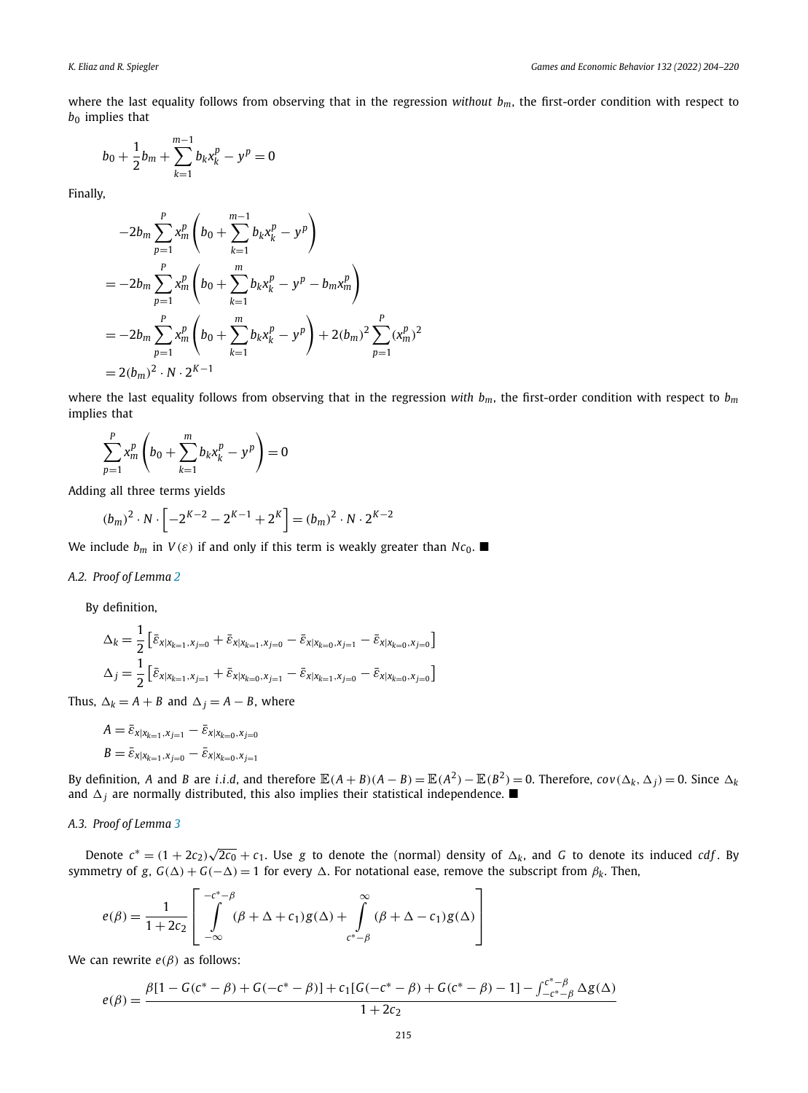where the last equality follows from observing that in the regression *without*  $b_m$ , the first-order condition with respect to  $b_0$  implies that

$$
b_0 + \frac{1}{2}b_m + \sum_{k=1}^{m-1} b_k x_k^p - y^p = 0
$$

Finally,

$$
-2b_m \sum_{p=1}^{P} x_m^p \left(b_0 + \sum_{k=1}^{m-1} b_k x_k^p - y^p\right)
$$
  
=  $-2b_m \sum_{p=1}^{P} x_m^p \left(b_0 + \sum_{k=1}^{m} b_k x_k^p - y^p - b_m x_m^p\right)$   
=  $-2b_m \sum_{p=1}^{P} x_m^p \left(b_0 + \sum_{k=1}^{m} b_k x_k^p - y^p\right) + 2(b_m)^2 \sum_{p=1}^{P} (x_m^p)^2$   
=  $2(b_m)^2 \cdot N \cdot 2^{K-1}$ 

where the last equality follows from observing that in the regression *with*  $b_m$ , the first-order condition with respect to  $b_m$ implies that

$$
\sum_{p=1}^{P} x_m^p \left(b_0 + \sum_{k=1}^{m} b_k x_k^p - y^p\right) = 0
$$

Adding all three terms yields

$$
(b_m)^2 \cdot N \cdot \left[ -2^{K-2} - 2^{K-1} + 2^K \right] = (b_m)^2 \cdot N \cdot 2^{K-2}
$$

We include  $b_m$  in  $V(\varepsilon)$  if and only if this term is weakly greater than  $Nc_0$ .

#### *A.2. Proof of Lemma [2](#page-5-0)*

By definition,

$$
\Delta_k = \frac{1}{2} \left[ \bar{\varepsilon}_{x|x_{k=1}, x_{j=0}} + \bar{\varepsilon}_{x|x_{k=1}, x_{j=0}} - \bar{\varepsilon}_{x|x_{k=0}, x_{j=1}} - \bar{\varepsilon}_{x|x_{k=0}, x_{j=0}} \right]
$$
  

$$
\Delta_j = \frac{1}{2} \left[ \bar{\varepsilon}_{x|x_{k=1}, x_{j=1}} + \bar{\varepsilon}_{x|x_{k=0}, x_{j=1}} - \bar{\varepsilon}_{x|x_{k=1}, x_{j=0}} - \bar{\varepsilon}_{x|x_{k=0}, x_{j=0}} \right]
$$

Thus,  $\Delta_k = A + B$  and  $\Delta_i = A - B$ , where

$$
A = \bar{\varepsilon}_{x|x_{k=1},x_{j=1}} - \bar{\varepsilon}_{x|x_{k=0},x_{j=0}}
$$
  

$$
B = \bar{\varepsilon}_{x|x_{k=1},x_{j=0}} - \bar{\varepsilon}_{x|x_{k=0},x_{j=1}}
$$

By definition, A and B are *i.i.d.*, and therefore  $\mathbb{E}(A + B)(A - B) = \mathbb{E}(A^2) - \mathbb{E}(B^2) = 0$ . Therefore,  $cov(\Delta_k, \Delta_i) = 0$ . Since  $\Delta_k$ and  $\Delta_j$  are normally distributed, this also implies their statistical independence.  $\blacksquare$ 

#### *A.3. Proof of Lemma [3](#page-6-0)*

Denote  $c^* = (1 + 2c_2)\sqrt{2c_0} + c_1$ . Use *g* to denote the (normal) density of  $\Delta_k$ , and *G* to denote its induced *cdf*. By symmetry of *g*,  $G(\Delta) + G(-\Delta) = 1$  for every  $\Delta$ . For notational ease, remove the subscript from  $\beta_k$ . Then,

$$
e(\beta) = \frac{1}{1+2c_2} \left[ \int\limits_{-\infty}^{-c^*-\beta} (\beta + \Delta + c_1) g(\Delta) + \int\limits_{c^*-\beta}^{\infty} (\beta + \Delta - c_1) g(\Delta) \right]
$$

We can rewrite  $e(\beta)$  as follows:

$$
e(\beta) = \frac{\beta[1 - G(c^* - \beta) + G(-c^* - \beta)] + c_1[G(-c^* - \beta) + G(c^* - \beta) - 1] - \int_{-c^* - \beta}^{c^* - \beta} \Delta g(\Delta)}{1 + 2c_2}
$$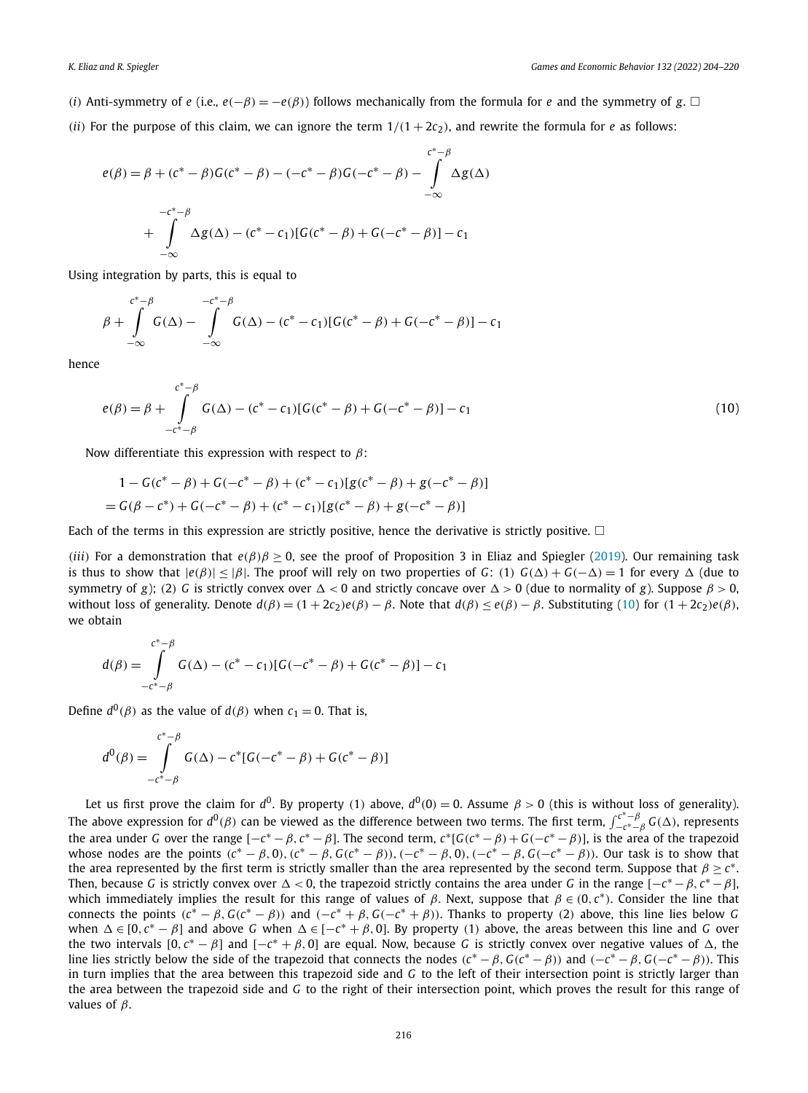- *(i)* Anti-symmetry of *e* (i.e.,  $e(-\beta) = -e(\beta)$ ) follows mechanically from the formula for *e* and the symmetry of *g*.  $\Box$
- *(ii)* For the purpose of this claim, we can ignore the term  $1/(1 + 2c_2)$ , and rewrite the formula for *e* as follows:

$$
e(\beta) = \beta + (c^* - \beta)G(c^* - \beta) - (-c^* - \beta)G(-c^* - \beta) - \int_{-\infty}^{c^* - \beta} \Delta g(\Delta)
$$
  

$$
-c^* - \beta
$$
  
+ 
$$
\int_{-\infty}^{-c^* - \beta} \Delta g(\Delta) - (c^* - c_1)[G(c^* - \beta) + G(-c^* - \beta)] - c_1
$$

Using integration by parts, this is equal to

$$
\beta + \int_{-\infty}^{c^* - \beta} G(\Delta) - \int_{-\infty}^{-c^* - \beta} G(\Delta) - (c^* - c_1)[G(c^* - \beta) + G(-c^* - \beta)] - c_1
$$

hence

$$
e(\beta) = \beta + \int_{-c^* - \beta}^{c^* - \beta} G(\Delta) - (c^* - c_1)[G(c^* - \beta) + G(-c^* - \beta)] - c_1
$$
\n(10)

Now differentiate this expression with respect to *β*:

$$
1 - G(c^* - \beta) + G(-c^* - \beta) + (c^* - c_1)[g(c^* - \beta) + g(-c^* - \beta)]
$$
  
=  $G(\beta - c^*) + G(-c^* - \beta) + (c^* - c_1)[g(c^* - \beta) + g(-c^* - \beta)]$ 

Each of the terms in this expression are strictly positive, hence the derivative is strictly positive.  $\square$ 

*(iii)* For a demonstration that  $e(\beta)\beta \ge 0$ , see the proof of Proposition 3 in Eliaz and Spiegler ([2019](#page-16-0)). Our remaining task is thus to show that  $|e(\beta)| \leq |\beta|$ . The proof will rely on two properties of *G*: (1)  $G(\Delta) + G(-\Delta) = 1$  for every  $\Delta$  (due to symmetry of *g*); (2) *G* is strictly convex over  $\Delta < 0$  and strictly concave over  $\Delta > 0$  (due to normality of *g*). Suppose  $β > 0$ , without loss of generality. Denote  $d(\beta) = (1 + 2c_2)e(\beta) - \beta$ . Note that  $d(\beta) < e(\beta) - \beta$ . Substituting (10) for  $(1 + 2c_2)e(\beta)$ . we obtain

$$
d(\beta) = \int_{-c^*-\beta}^{c^*-\beta} G(\Delta) - (c^* - c_1)[G(-c^* - \beta) + G(c^* - \beta)] - c_1
$$

Define  $d^0(\beta)$  as the value of  $d(\beta)$  when  $c_1 = 0$ . That is,

$$
d^{0}(\beta) = \int_{-c^{*}-\beta}^{c^{*}-\beta} G(\Delta) - c^{*}[G(-c^{*}-\beta) + G(c^{*}-\beta)]
$$

Let us first prove the claim for  $d^0$ . By property (1) above,  $d^0(0) = 0$ . Assume  $\beta > 0$  (this is without loss of generality). The above expression for  $d^0(\beta)$  can be viewed as the difference between two terms. The first term,  $\int_{-c^*-\beta}^{c^*-\beta} G(\Delta)$ , represents the area under *G* over the range  $[-c^* - \beta, c^* - \beta]$ . The second term,  $c^*[G(c^* - \beta) + G(-c^* - \beta)]$ , is the area of the trapezoid whose nodes are the points  $(c^* - \beta, 0)$ ,  $(c^* - \beta, G(c^* - \beta))$ ,  $(-c^* - \beta, 0)$ ,  $(-c^* - \beta, G(-c^* - \beta))$ . Our task is to show that the area represented by the first term is strictly smaller than the area represented by the second term. Suppose that  $\beta \geq c^*$ . Then, because *G* is strictly convex over  $\Delta < 0$ , the trapezoid strictly contains the area under *G* in the range  $[-c^* - \beta, c^* - \beta]$ , which immediately implies the result for this range of values of *β*. Next, suppose that *β* ∈ *(*0*, c*∗*)*. Consider the line that connects the points  $(c^* - \beta, G(c^* - \beta))$  and  $(-c^* + \beta, G(-c^* + \beta))$ . Thanks to property (2) above, this line lies below G when  $\Delta \in [0, c^* - \beta]$  and above *G* when  $\Delta \in [-c^* + \beta, 0]$ . By property (1) above, the areas between this line and *G* over the two intervals  $[0, c^* - \beta]$  and  $[-c^* + \beta, 0]$  are equal. Now, because *G* is strictly convex over negative values of  $\Delta$ , the line lies strictly below the side of the trapezoid that connects the nodes  $(c^* - \beta, G(c^* - \beta))$  and  $(-c^* - \beta, G(-c^* - \beta))$ . This in turn implies that the area between this trapezoid side and *G* to the left of their intersection point is strictly larger than the area between the trapezoid side and *G* to the right of their intersection point, which proves the result for this range of values of *β*.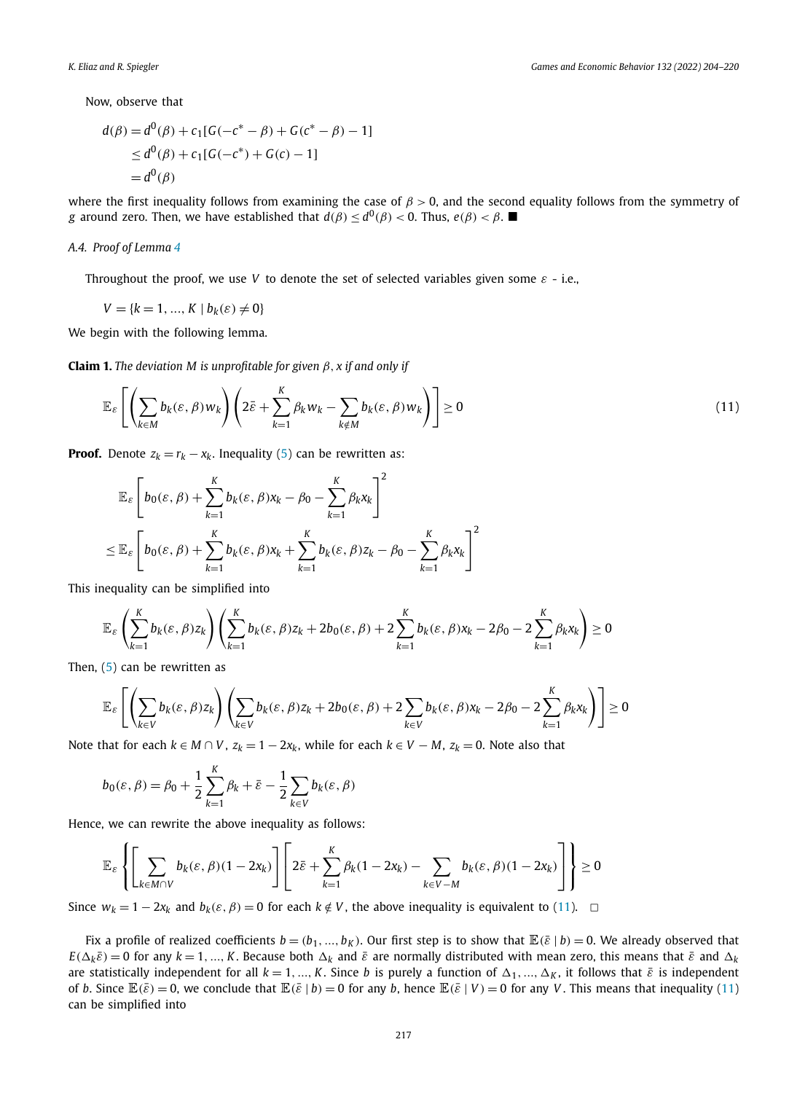<span id="page-13-0"></span>Now, observe that

$$
d(\beta) = d^{0}(\beta) + c_{1}[G(-c^{*} - \beta) + G(c^{*} - \beta) - 1]
$$
  
\n
$$
\leq d^{0}(\beta) + c_{1}[G(-c^{*}) + G(c) - 1]
$$
  
\n
$$
= d^{0}(\beta)
$$

where the first inequality follows from examining the case of *β >* 0, and the second equality follows from the symmetry of *g* around zero. Then, we have established that  $d(\beta) \leq d^0(\beta) < 0$ . Thus,  $e(\beta) < \beta$ .

#### *A.4. Proof of Lemma [4](#page-6-0)*

Throughout the proof, we use *V* to denote the set of selected variables given some *ε* - i.e.,

$$
V = \{k = 1, ..., K \mid b_k(\varepsilon) \neq 0\}
$$

We begin with the following lemma.

**Claim 1.** The deviation M is unprofitable for given  $\beta$ ,  $x$  if and only if

$$
\mathbb{E}_{\varepsilon}\left[\left(\sum_{k\in M}b_k(\varepsilon,\beta)w_k\right)\left(2\bar{\varepsilon}+\sum_{k=1}^K\beta_kw_k-\sum_{k\notin M}b_k(\varepsilon,\beta)w_k\right)\right]\geq 0\tag{11}
$$

**Proof.** Denote  $z_k = r_k - x_k$ . Inequality ([5](#page-5-0)) can be rewritten as:

$$
\mathbb{E}_{\varepsilon} \left[ b_0(\varepsilon, \beta) + \sum_{k=1}^K b_k(\varepsilon, \beta) x_k - \beta_0 - \sum_{k=1}^K \beta_k x_k \right]^2
$$
  

$$
\leq \mathbb{E}_{\varepsilon} \left[ b_0(\varepsilon, \beta) + \sum_{k=1}^K b_k(\varepsilon, \beta) x_k + \sum_{k=1}^K b_k(\varepsilon, \beta) z_k - \beta_0 - \sum_{k=1}^K \beta_k x_k \right]^2
$$

This inequality can be simplified into

$$
\mathbb{E}_{\varepsilon}\left(\sum_{k=1}^K b_k(\varepsilon,\beta)z_k\right)\left(\sum_{k=1}^K b_k(\varepsilon,\beta)z_k + 2b_0(\varepsilon,\beta) + 2\sum_{k=1}^K b_k(\varepsilon,\beta)x_k - 2\beta_0 - 2\sum_{k=1}^K \beta_k x_k\right) \geq 0
$$

Then, [\(5\)](#page-5-0) can be rewritten as

$$
\mathbb{E}_{\varepsilon}\left[\left(\sum_{k\in V}b_{k}(\varepsilon,\beta)z_{k}\right)\left(\sum_{k\in V}b_{k}(\varepsilon,\beta)z_{k}+2b_{0}(\varepsilon,\beta)+2\sum_{k\in V}b_{k}(\varepsilon,\beta)x_{k}-2\beta_{0}-2\sum_{k=1}^{K}\beta_{k}x_{k}\right)\right]\geq0
$$

Note that for each  $k \in M \cap V$ ,  $z_k = 1 - 2x_k$ , while for each  $k \in V - M$ ,  $z_k = 0$ . Note also that

$$
b_0(\varepsilon, \beta) = \beta_0 + \frac{1}{2} \sum_{k=1}^{K} \beta_k + \bar{\varepsilon} - \frac{1}{2} \sum_{k \in V} b_k(\varepsilon, \beta)
$$

Hence, we can rewrite the above inequality as follows:

$$
\mathbb{E}_{\varepsilon}\left\{\left[\sum_{k\in M\cap V}b_{k}(\varepsilon,\beta)(1-2x_{k})\right]\left[2\bar{\varepsilon}+\sum_{k=1}^{K}\beta_{k}(1-2x_{k})-\sum_{k\in V-M}b_{k}(\varepsilon,\beta)(1-2x_{k})\right]\right\}\geq 0
$$

Since  $w_k = 1 - 2x_k$  and  $b_k(\varepsilon, \beta) = 0$  for each  $k \notin V$ , the above inequality is equivalent to (11).  $□$ 

Fix a profile of realized coefficients  $b = (b_1, ..., b_K)$ . Our first step is to show that  $\mathbb{E}(\bar{\varepsilon} \mid b) = 0$ . We already observed that  $E(\Delta_k \bar{\varepsilon}) = 0$  for any  $k = 1, ..., K$ . Because both  $\Delta_k$  and  $\bar{\varepsilon}$  are normally distributed with mean zero, this means that  $\bar{\varepsilon}$  and  $\Delta_k$ are statistically independent for all  $k = 1, ..., K$ . Since *b* is purely a function of  $\Delta_1, ..., \Delta_K$ , it follows that  $\bar{\varepsilon}$  is independent of *b*. Since  $\mathbb{E}(\bar{\varepsilon}) = 0$ , we conclude that  $\mathbb{E}(\bar{\varepsilon} \mid b) = 0$  for any *b*, hence  $\mathbb{E}(\bar{\varepsilon} \mid V) = 0$  for any *V*. This means that inequality (11) can be simplified into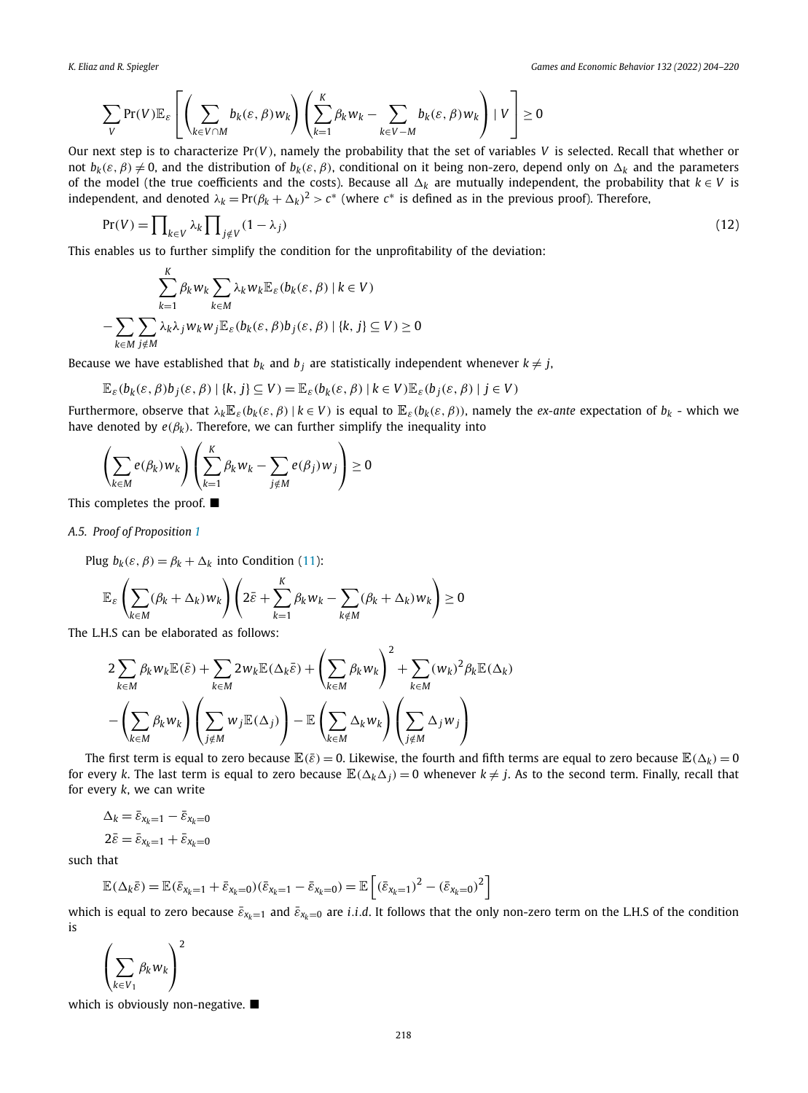$$
\sum_{V} \Pr(V) \mathbb{E}_{\varepsilon} \left[ \left( \sum_{k \in V \cap M} b_k(\varepsilon, \beta) w_k \right) \left( \sum_{k=1}^{K} \beta_k w_k - \sum_{k \in V - M} b_k(\varepsilon, \beta) w_k \right) \mid V \right] \geq 0
$$

Our next step is to characterize Pr*(V )*, namely the probability that the set of variables *V* is selected. Recall that whether or not  $b_k(\varepsilon, \beta) \neq 0$ , and the distribution of  $b_k(\varepsilon, \beta)$ , conditional on it being non-zero, depend only on  $\Delta_k$  and the parameters of the model (the true coefficients and the costs). Because all  $\Delta_k$  are mutually independent, the probability that  $k \in V$  is independent, and denoted  $\lambda_k = Pr(\beta_k + \Delta_k)^2 > c^*$  (where  $c^*$  is defined as in the previous proof). Therefore,

$$
\Pr(V) = \prod_{k \in V} \lambda_k \prod_{j \notin V} (1 - \lambda_j) \tag{12}
$$

This enables us to further simplify the condition for the unprofitability of the deviation:

$$
\sum_{k=1}^{K} \beta_k w_k \sum_{k \in M} \lambda_k w_k \mathbb{E}_{\varepsilon}(b_k(\varepsilon, \beta) \mid k \in V)
$$

$$
- \sum_{k \in M} \sum_{j \notin M} \lambda_k \lambda_j w_k w_j \mathbb{E}_{\varepsilon}(b_k(\varepsilon, \beta)b_j(\varepsilon, \beta) \mid \{k, j\} \subseteq V) \ge 0
$$

Because we have established that  $b_k$  and  $b_j$  are statistically independent whenever  $k \neq j$ ,

$$
\mathbb{E}_{\varepsilon}(b_k(\varepsilon,\beta)b_j(\varepsilon,\beta) | \{k,j\} \subseteq V) = \mathbb{E}_{\varepsilon}(b_k(\varepsilon,\beta) | k \in V) \mathbb{E}_{\varepsilon}(b_j(\varepsilon,\beta) | j \in V)
$$

Furthermore, observe that  $\lambda_k \mathbb{E}_{\varepsilon}(b_k(\varepsilon, \beta) \mid k \in V)$  is equal to  $\mathbb{E}_{\varepsilon}(b_k(\varepsilon, \beta))$ , namely the *ex-ante* expectation of  $b_k$  - which we have denoted by  $e(\beta_k)$ . Therefore, we can further simplify the inequality into

$$
\left(\sum_{k\in M} e(\beta_k) w_k\right) \left(\sum_{k=1}^K \beta_k w_k - \sum_{j \notin M} e(\beta_j) w_j\right) \ge 0
$$

This completes the proof.  $\blacksquare$ 

*A.5. Proof of Proposition [1](#page-7-0)*

Plug  $b_k(\varepsilon, \beta) = \beta_k + \Delta_k$  into Condition ([11](#page-13-0)):

$$
\mathbb{E}_{\varepsilon} \left( \sum_{k \in M} (\beta_k + \Delta_k) w_k \right) \left( 2 \bar{\varepsilon} + \sum_{k=1}^K \beta_k w_k - \sum_{k \notin M} (\beta_k + \Delta_k) w_k \right) \ge 0
$$

The L.H.S can be elaborated as follows:

$$
\begin{split} & 2 \sum_{k \in M} \beta_k w_k \mathbb{E}(\bar{\varepsilon}) + \sum_{k \in M} 2 w_k \mathbb{E}(\Delta_k \bar{\varepsilon}) + \left(\sum_{k \in M} \beta_k w_k\right)^2 + \sum_{k \in M} (w_k)^2 \beta_k \mathbb{E}(\Delta_k) \\ & - \left(\sum_{k \in M} \beta_k w_k\right) \left(\sum_{j \notin M} w_j \mathbb{E}(\Delta_j)\right) - \mathbb{E}\left(\sum_{k \in M} \Delta_k w_k\right) \left(\sum_{j \notin M} \Delta_j w_j\right) \end{split}
$$

The first term is equal to zero because  $\mathbb{E}(\bar{\varepsilon})=0$ . Likewise, the fourth and fifth terms are equal to zero because  $\mathbb{E}(\Delta_k)=0$ for every *k*. The last term is equal to zero because  $\mathbb{E}(\Delta_k \Delta_j) = 0$  whenever  $k \neq j$ . As to the second term. Finally, recall that for every *k*, we can write

$$
\Delta_k = \bar{\varepsilon}_{x_k=1} - \bar{\varepsilon}_{x_k=0}
$$

$$
2\bar{\varepsilon} = \bar{\varepsilon}_{x_k=1} + \bar{\varepsilon}_{x_k=0}
$$

such that

$$
\mathbb{E}(\Delta_k \bar{\varepsilon}) = \mathbb{E}(\bar{\varepsilon}_{x_k=1} + \bar{\varepsilon}_{x_k=0})(\bar{\varepsilon}_{x_k=1} - \bar{\varepsilon}_{x_k=0}) = \mathbb{E}\left[(\bar{\varepsilon}_{x_k=1})^2 - (\bar{\varepsilon}_{x_k=0})^2\right]
$$

which is equal to zero because  $\bar{\varepsilon}_{x_k=1}$  and  $\bar{\varepsilon}_{x_k=0}$  are *i.i.d.* It follows that the only non-zero term on the L.H.S of the condition is

$$
\left(\sum_{k\in V_1}\beta_k w_k\right)^2
$$

which is obviously non-negative.  $\blacksquare$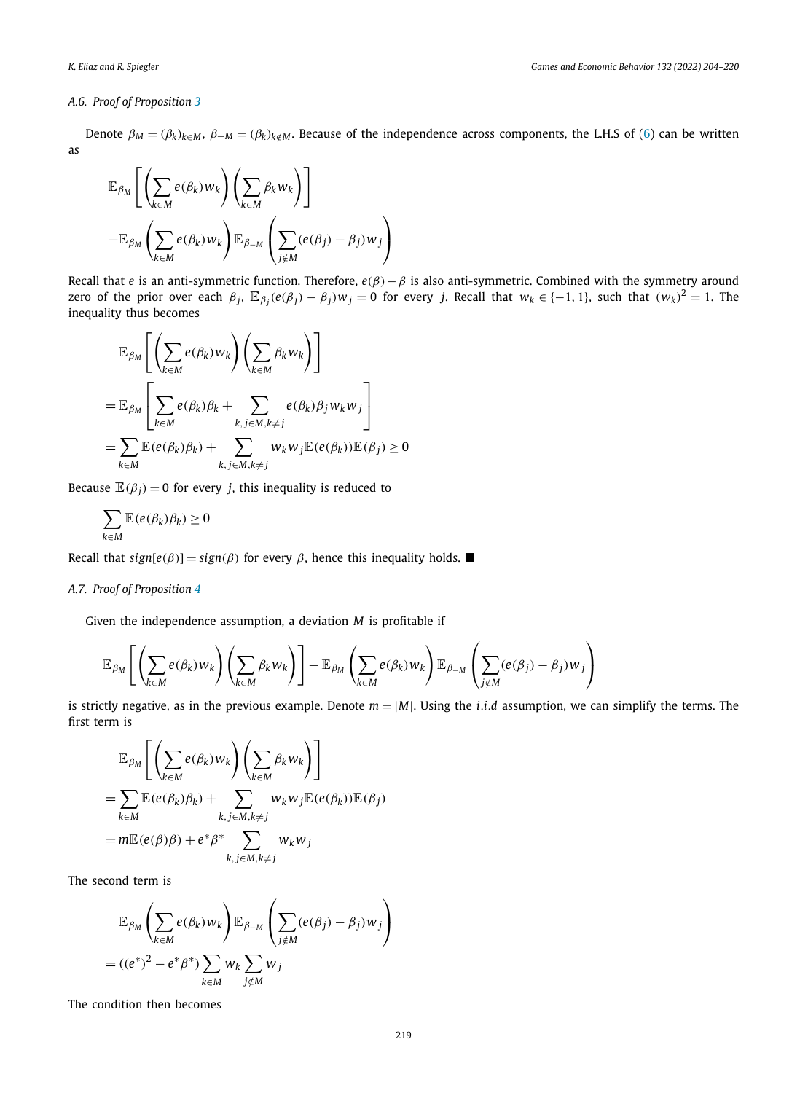#### *A.6. Proof of Proposition [3](#page-8-0)*

Denote  $\beta_M = (\beta_k)_{k \in M}$ ,  $\beta_{-M} = (\beta_k)_{k \notin M}$ . Because of the independence across components, the L.H.S of ([6](#page-6-0)) can be written as

$$
\mathbb{E}_{\beta_M} \left[ \left( \sum_{k \in M} e(\beta_k) w_k \right) \left( \sum_{k \in M} \beta_k w_k \right) \right] \n- \mathbb{E}_{\beta_M} \left( \sum_{k \in M} e(\beta_k) w_k \right) \mathbb{E}_{\beta_M} \left( \sum_{j \notin M} (e(\beta_j) - \beta_j) w_j \right)
$$

Recall that *e* is an anti-symmetric function. Therefore, *e(β)*−*β* is also anti-symmetric. Combined with the symmetry around zero of the prior over each  $\beta_j$ ,  $\mathbb{E}_{\beta_j}(e(\beta_j) - \beta_j)w_j = 0$  for every j. Recall that  $w_k \in \{-1, 1\}$ , such that  $(w_k)^2 = 1$ . The inequality thus becomes

$$
\mathbb{E}_{\beta_M} \left[ \left( \sum_{k \in M} e(\beta_k) w_k \right) \left( \sum_{k \in M} \beta_k w_k \right) \right]
$$
\n
$$
= \mathbb{E}_{\beta_M} \left[ \sum_{k \in M} e(\beta_k) \beta_k + \sum_{k, j \in M, k \neq j} e(\beta_k) \beta_j w_k w_j \right]
$$
\n
$$
= \sum_{k \in M} \mathbb{E}(e(\beta_k) \beta_k) + \sum_{k, j \in M, k \neq j} w_k w_j \mathbb{E}(e(\beta_k)) \mathbb{E}(\beta_j) \ge 0
$$

Because  $\mathbb{E}(\beta_i) = 0$  for every *j*, this inequality is reduced to

$$
\sum_{k\in M}\mathbb{E}(e(\beta_k)\beta_k)\geq 0
$$

Recall that  $sign[e(\beta)] = sign(\beta)$  for every  $\beta$ , hence this inequality holds.

### *A.7. Proof of Proposition [4](#page-8-0)*

Given the independence assumption, a deviation *M* is profitable if

$$
\mathbb{E}_{\beta_M}\left[\left(\sum_{k\in M}e(\beta_k)w_k\right)\left(\sum_{k\in M}\beta_kw_k\right)\right]-\mathbb{E}_{\beta_M}\left(\sum_{k\in M}e(\beta_k)w_k\right)\mathbb{E}_{\beta_M}\left(\sum_{j\notin M}(e(\beta_j)-\beta_j)w_j\right)
$$

is strictly negative, as in the previous example. Denote  $m = |M|$ . Using the *i.i.d* assumption, we can simplify the terms. The first term is

$$
\mathbb{E}_{\beta_M} \left[ \left( \sum_{k \in M} e(\beta_k) w_k \right) \left( \sum_{k \in M} \beta_k w_k \right) \right]
$$
\n
$$
= \sum_{k \in M} \mathbb{E}(e(\beta_k) \beta_k) + \sum_{k, j \in M, k \neq j} w_k w_j \mathbb{E}(e(\beta_k)) \mathbb{E}(\beta_j)
$$
\n
$$
= m \mathbb{E}(e(\beta) \beta) + e^* \beta^* \sum_{k, j \in M, k \neq j} w_k w_j
$$

The second term is

$$
\mathbb{E}_{\beta_M} \left( \sum_{k \in M} e(\beta_k) w_k \right) \mathbb{E}_{\beta_M} \left( \sum_{j \notin M} (e(\beta_j) - \beta_j) w_j \right)
$$
  
=  $((e^*)^2 - e^* \beta^*) \sum_{k \in M} w_k \sum_{j \notin M} w_j$ 

The condition then becomes